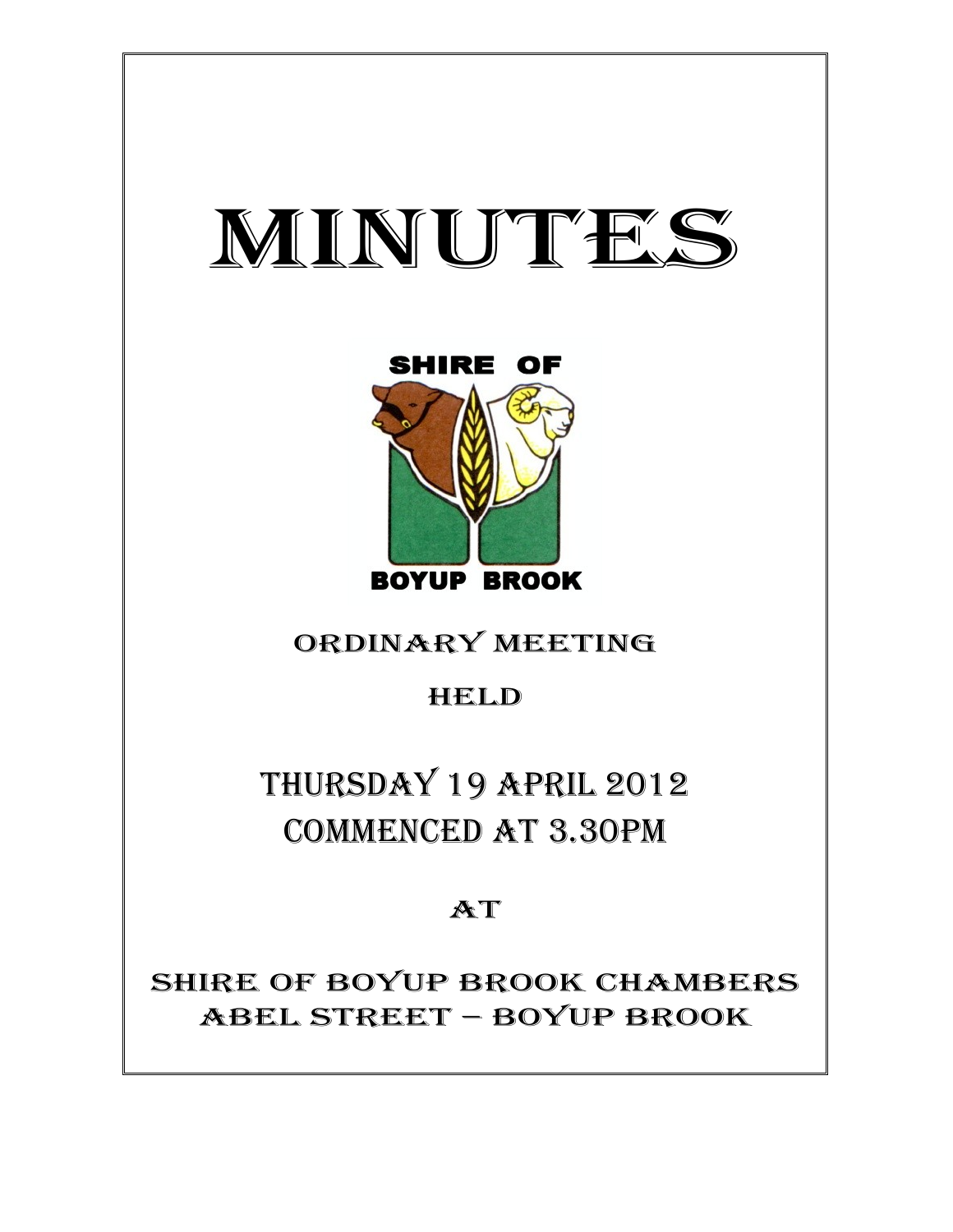

Ξ



ORDINARY MEETING

HELD

THURSDAY 19 APRIL 2012 COMMENCED AT 3.30PM

AT

SHIRE OF BOYUP BROOK CHAMBERS ABEL STREET – BOYUP BROOK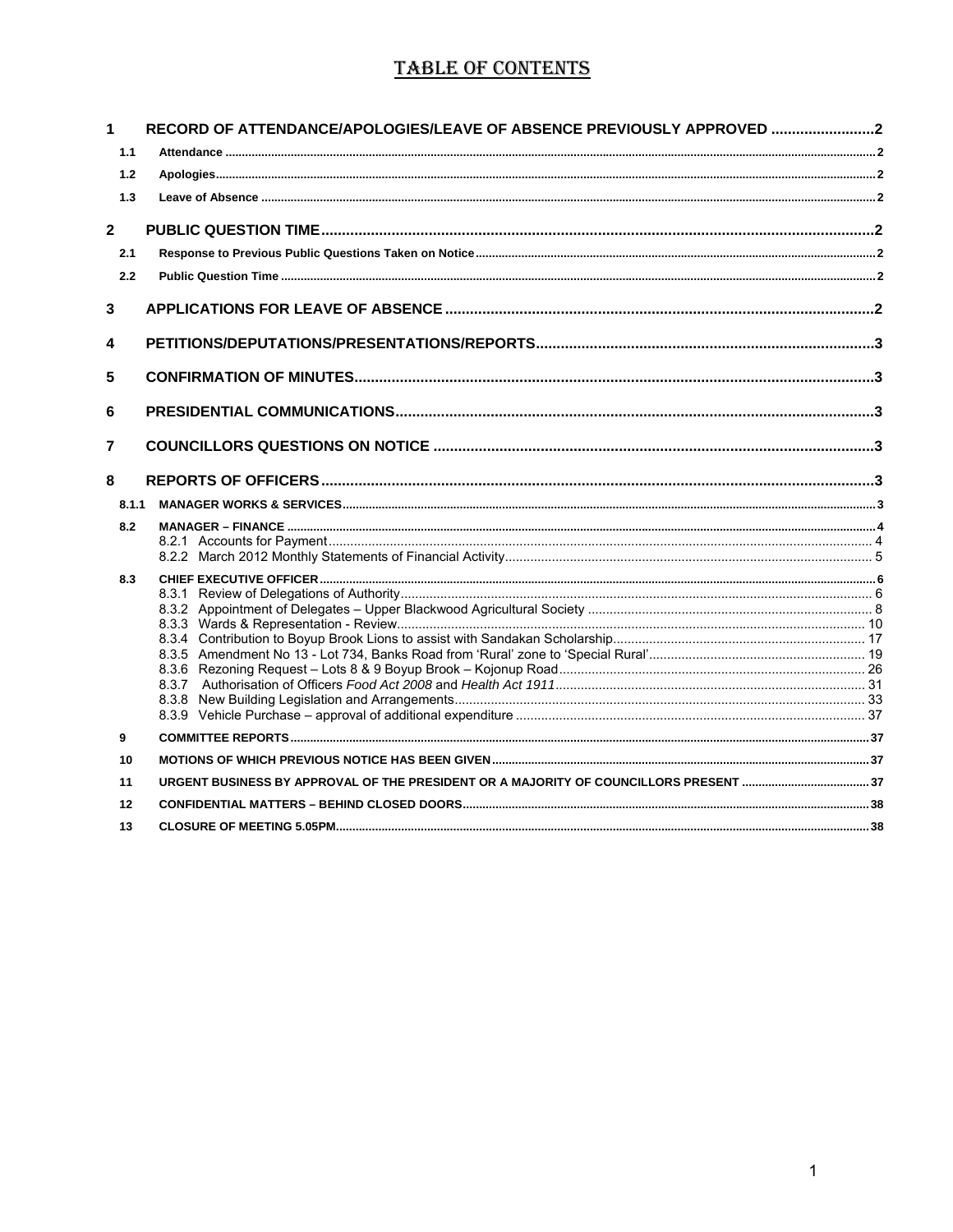# **TABLE OF CONTENTS**

| 1              | RECORD OF ATTENDANCE/APOLOGIES/LEAVE OF ABSENCE PREVIOUSLY APPROVED 2 |  |
|----------------|-----------------------------------------------------------------------|--|
| 1.1            |                                                                       |  |
| 1.2            |                                                                       |  |
| 1.3            |                                                                       |  |
| $\mathbf{2}$   |                                                                       |  |
| 2.1            |                                                                       |  |
| 2.2            |                                                                       |  |
| 3              |                                                                       |  |
| 4              |                                                                       |  |
| 5              |                                                                       |  |
| 6              |                                                                       |  |
| $\overline{7}$ |                                                                       |  |
| 8              |                                                                       |  |
| 8.1.1          |                                                                       |  |
| 8.2            |                                                                       |  |
|                |                                                                       |  |
|                |                                                                       |  |
| 8.3            |                                                                       |  |
|                |                                                                       |  |
|                |                                                                       |  |
|                |                                                                       |  |
|                |                                                                       |  |
|                |                                                                       |  |
|                |                                                                       |  |
|                |                                                                       |  |
|                |                                                                       |  |
| 9              |                                                                       |  |
| 10             |                                                                       |  |
| 11             |                                                                       |  |
| 12             |                                                                       |  |
| 13             |                                                                       |  |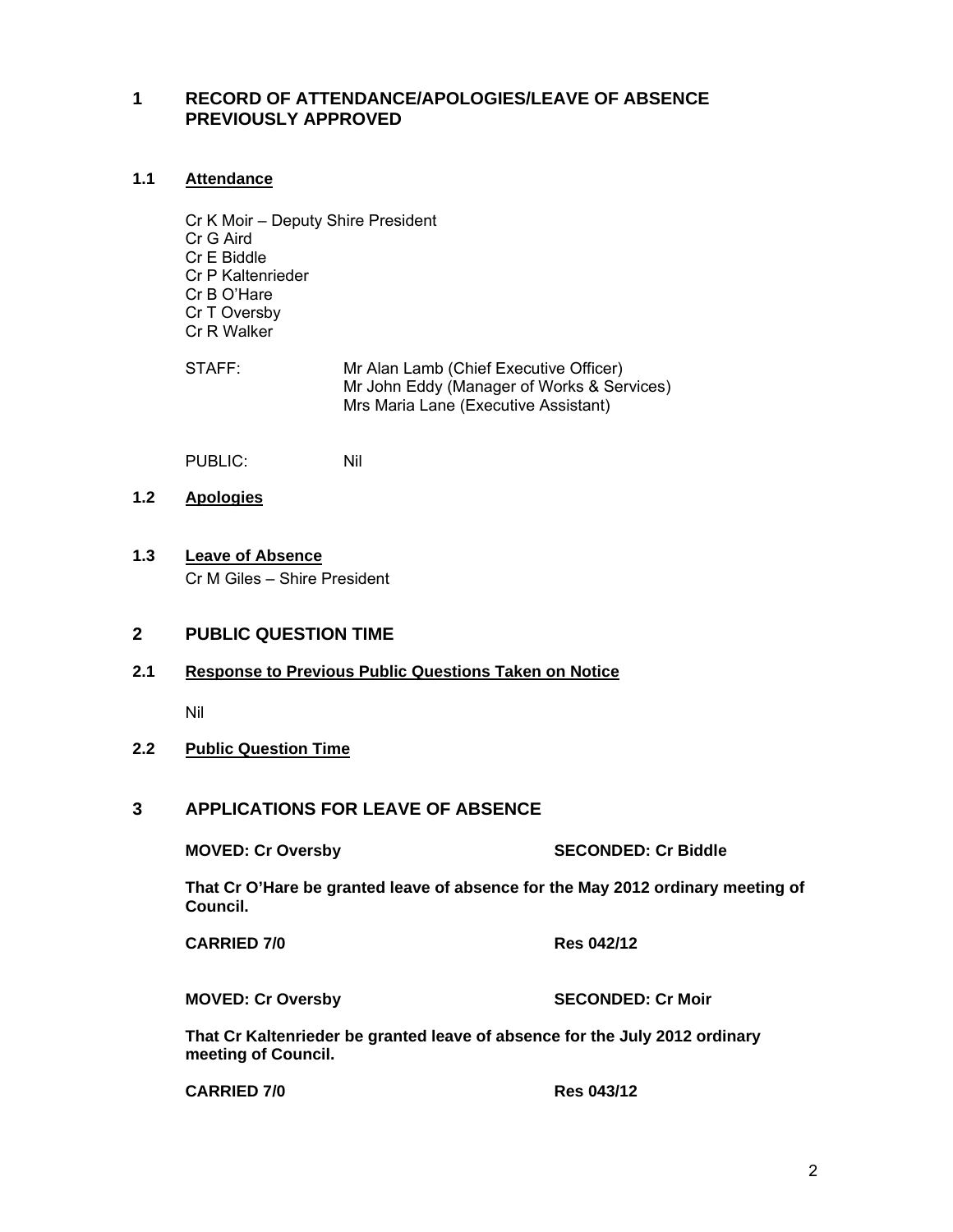# **1 RECORD OF ATTENDANCE/APOLOGIES/LEAVE OF ABSENCE PREVIOUSLY APPROVED**

# **1.1 Attendance**

- Cr K Moir Deputy Shire President Cr G Aird Cr E Biddle Cr P Kaltenrieder Cr B O'Hare Cr T Oversby Cr R Walker
- STAFF: Mr Alan Lamb (Chief Executive Officer) Mr John Eddy (Manager of Works & Services) Mrs Maria Lane (Executive Assistant)

PUBLIC: Nil

- **1.2 Apologies**
- **1.3 Leave of Absence** Cr M Giles – Shire President

# **2 PUBLIC QUESTION TIME**

**2.1 Response to Previous Public Questions Taken on Notice**

Nil

# **2.2 Public Question Time**

# **3 APPLICATIONS FOR LEAVE OF ABSENCE**

**MOVED: Cr Oversby SECONDED: Cr Biddle** 

**That Cr O'Hare be granted leave of absence for the May 2012 ordinary meeting of Council.** 

**CARRIED 7/0 Res 042/12** 

**MOVED: Cr Oversby SECONDED: Cr Moir** 

**That Cr Kaltenrieder be granted leave of absence for the July 2012 ordinary meeting of Council.** 

| <b>CARRIED 7/0</b> | <b>Res 043/12</b> |
|--------------------|-------------------|
|--------------------|-------------------|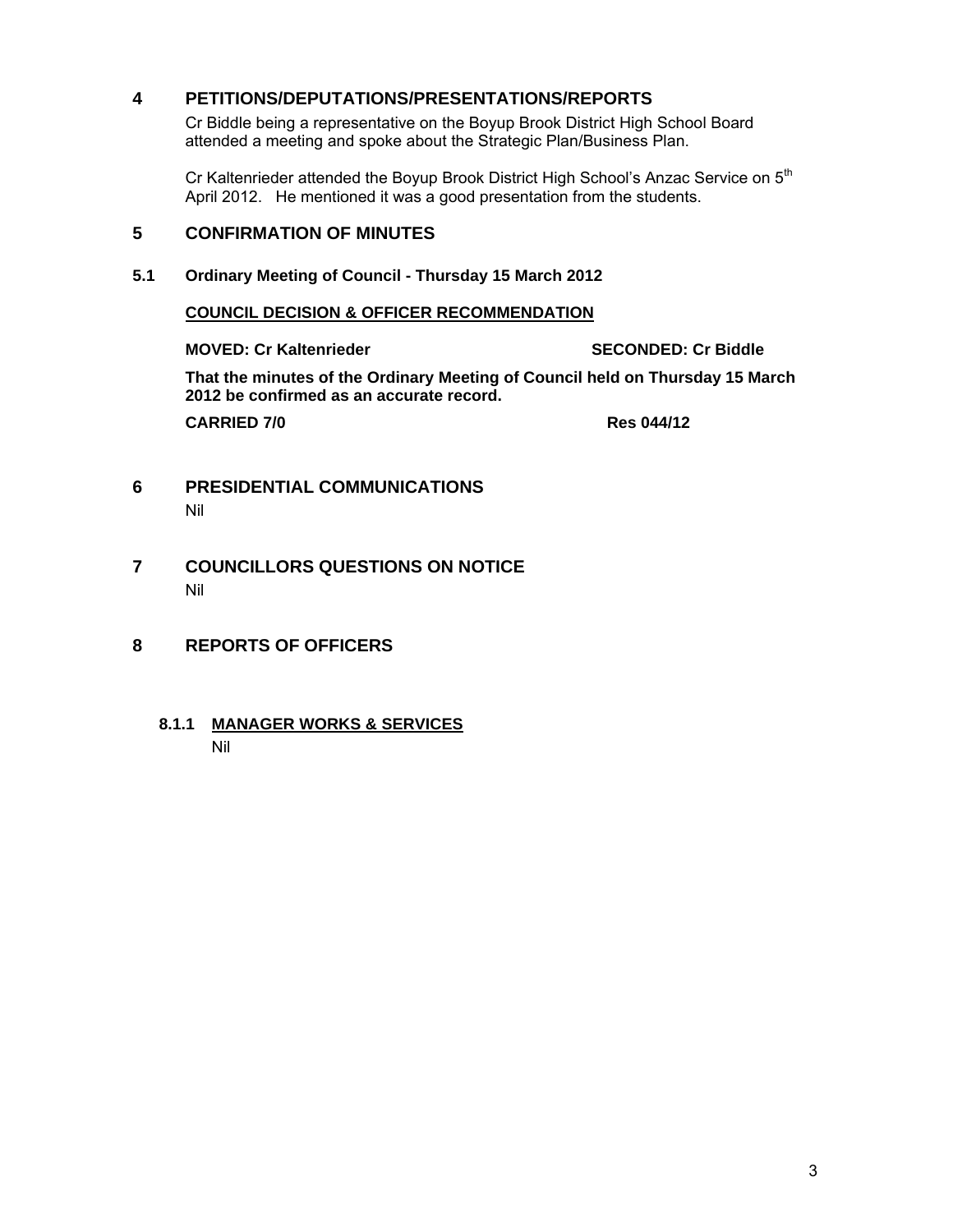# **4 PETITIONS/DEPUTATIONS/PRESENTATIONS/REPORTS**

Cr Biddle being a representative on the Boyup Brook District High School Board attended a meeting and spoke about the Strategic Plan/Business Plan.

Cr Kaltenrieder attended the Boyup Brook District High School's Anzac Service on 5<sup>th</sup> April 2012. He mentioned it was a good presentation from the students.

# **5 CONFIRMATION OF MINUTES**

**5.1 Ordinary Meeting of Council - Thursday 15 March 2012** 

# **COUNCIL DECISION & OFFICER RECOMMENDATION**

**MOVED: Cr Kaltenrieder SECONDED: Cr Biddle** 

**That the minutes of the Ordinary Meeting of Council held on Thursday 15 March 2012 be confirmed as an accurate record.** 

**CARRIED 7/0 Res 044/12** 

# **6 PRESIDENTIAL COMMUNICATIONS**  Nil

- **7 COUNCILLORS QUESTIONS ON NOTICE**  Nil
- **8 REPORTS OF OFFICERS** 
	- **8.1.1 MANAGER WORKS & SERVICES** Nil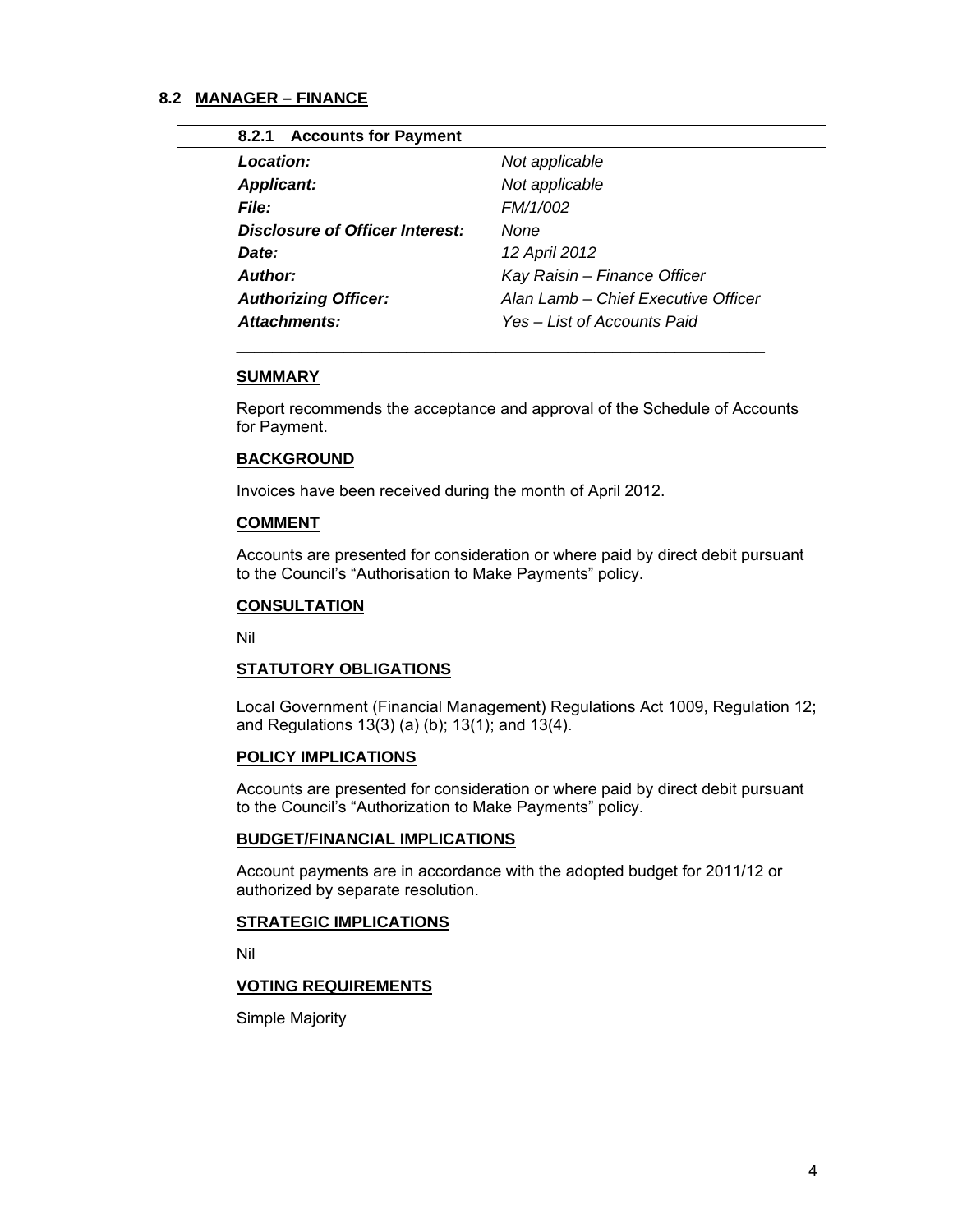# **8.2 MANAGER – FINANCE**

| 8.2.1 Accounts for Payment      |                                     |
|---------------------------------|-------------------------------------|
| Location:                       | Not applicable                      |
| <b>Applicant:</b>               | Not applicable                      |
| <b>File:</b>                    | FM/1/002                            |
| Disclosure of Officer Interest: | None                                |
| Date:                           | 12 April 2012                       |
| Author:                         | Kay Raisin - Finance Officer        |
| <b>Authorizing Officer:</b>     | Alan Lamb – Chief Executive Officer |
| <b>Attachments:</b>             | Yes – List of Accounts Paid         |
|                                 |                                     |

# **SUMMARY**

Report recommends the acceptance and approval of the Schedule of Accounts for Payment.

#### **BACKGROUND**

Invoices have been received during the month of April 2012.

 $\frac{1}{2}$  ,  $\frac{1}{2}$  ,  $\frac{1}{2}$  ,  $\frac{1}{2}$  ,  $\frac{1}{2}$  ,  $\frac{1}{2}$  ,  $\frac{1}{2}$  ,  $\frac{1}{2}$  ,  $\frac{1}{2}$  ,  $\frac{1}{2}$  ,  $\frac{1}{2}$  ,  $\frac{1}{2}$  ,  $\frac{1}{2}$  ,  $\frac{1}{2}$  ,  $\frac{1}{2}$  ,  $\frac{1}{2}$  ,  $\frac{1}{2}$  ,  $\frac{1}{2}$  ,  $\frac{1$ 

#### **COMMENT**

Accounts are presented for consideration or where paid by direct debit pursuant to the Council's "Authorisation to Make Payments" policy.

#### **CONSULTATION**

Nil

#### **STATUTORY OBLIGATIONS**

 Local Government (Financial Management) Regulations Act 1009, Regulation 12; and Regulations 13(3) (a) (b); 13(1); and 13(4).

#### **POLICY IMPLICATIONS**

Accounts are presented for consideration or where paid by direct debit pursuant to the Council's "Authorization to Make Payments" policy.

# **BUDGET/FINANCIAL IMPLICATIONS**

Account payments are in accordance with the adopted budget for 2011/12 or authorized by separate resolution.

#### **STRATEGIC IMPLICATIONS**

Nil

#### **VOTING REQUIREMENTS**

Simple Majority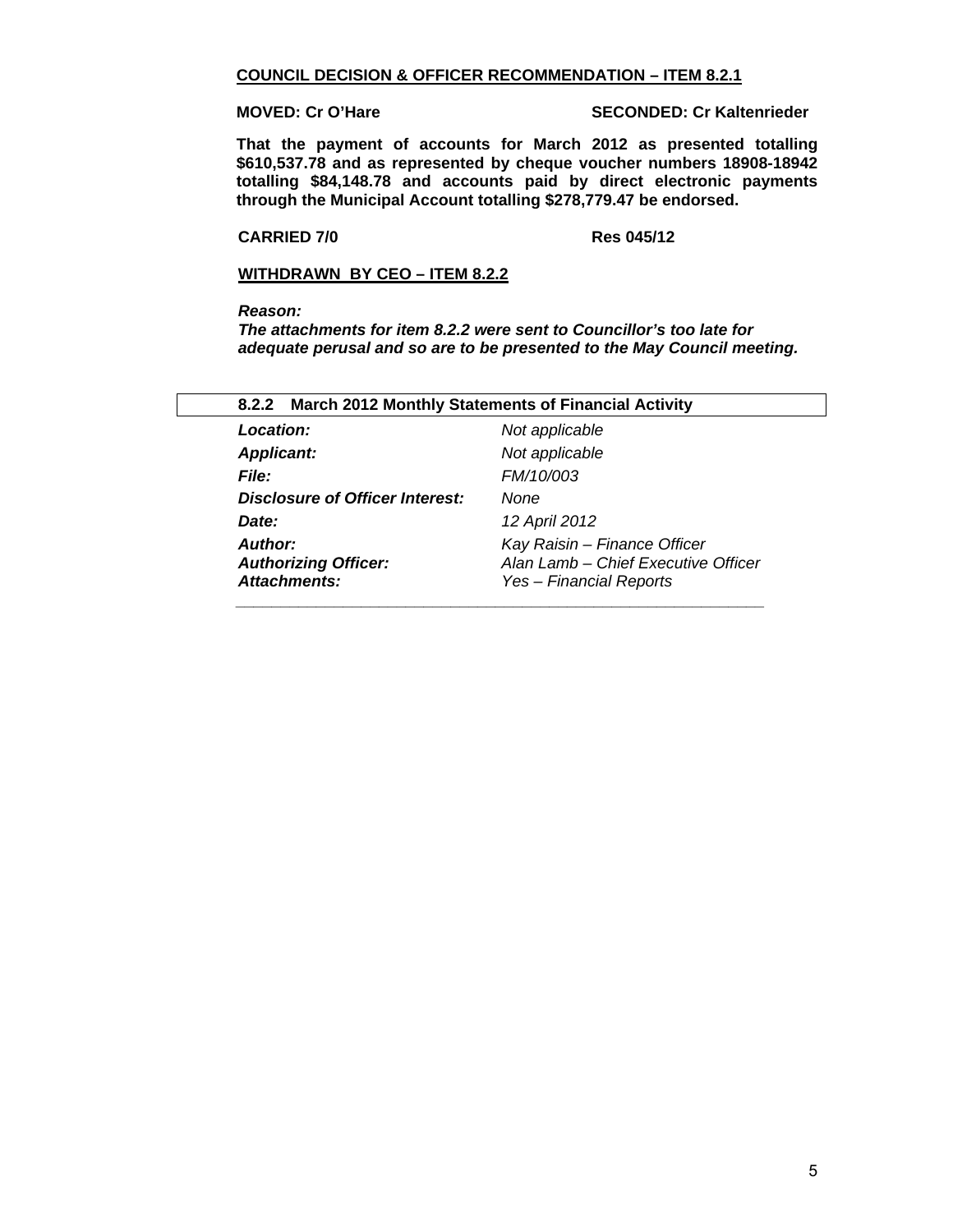#### **COUNCIL DECISION & OFFICER RECOMMENDATION – ITEM 8.2.1**

**MOVED: Cr O'Hare SECONDED: Cr Kaltenrieder** 

**That the payment of accounts for March 2012 as presented totalling \$610,537.78 and as represented by cheque voucher numbers 18908-18942 totalling \$84,148.78 and accounts paid by direct electronic payments through the Municipal Account totalling \$278,779.47 be endorsed.** 

#### **CARRIED 7/0 Res 045/12**

## **WITHDRAWN BY CEO – ITEM 8.2.2**

#### *Reason:*

*The attachments for item 8.2.2 were sent to Councillor's too late for adequate perusal and so are to be presented to the May Council meeting.* 

| Location:                                                            | Not applicable                                                                                 |  |
|----------------------------------------------------------------------|------------------------------------------------------------------------------------------------|--|
| <b>Applicant:</b>                                                    | Not applicable                                                                                 |  |
| <b>File:</b>                                                         | FM/10/003                                                                                      |  |
| <b>Disclosure of Officer Interest:</b>                               | None                                                                                           |  |
| Date:                                                                | 12 April 2012                                                                                  |  |
| <b>Author:</b><br><b>Authorizing Officer:</b><br><b>Attachments:</b> | Kay Raisin - Finance Officer<br>Alan Lamb - Chief Executive Officer<br>Yes – Financial Reports |  |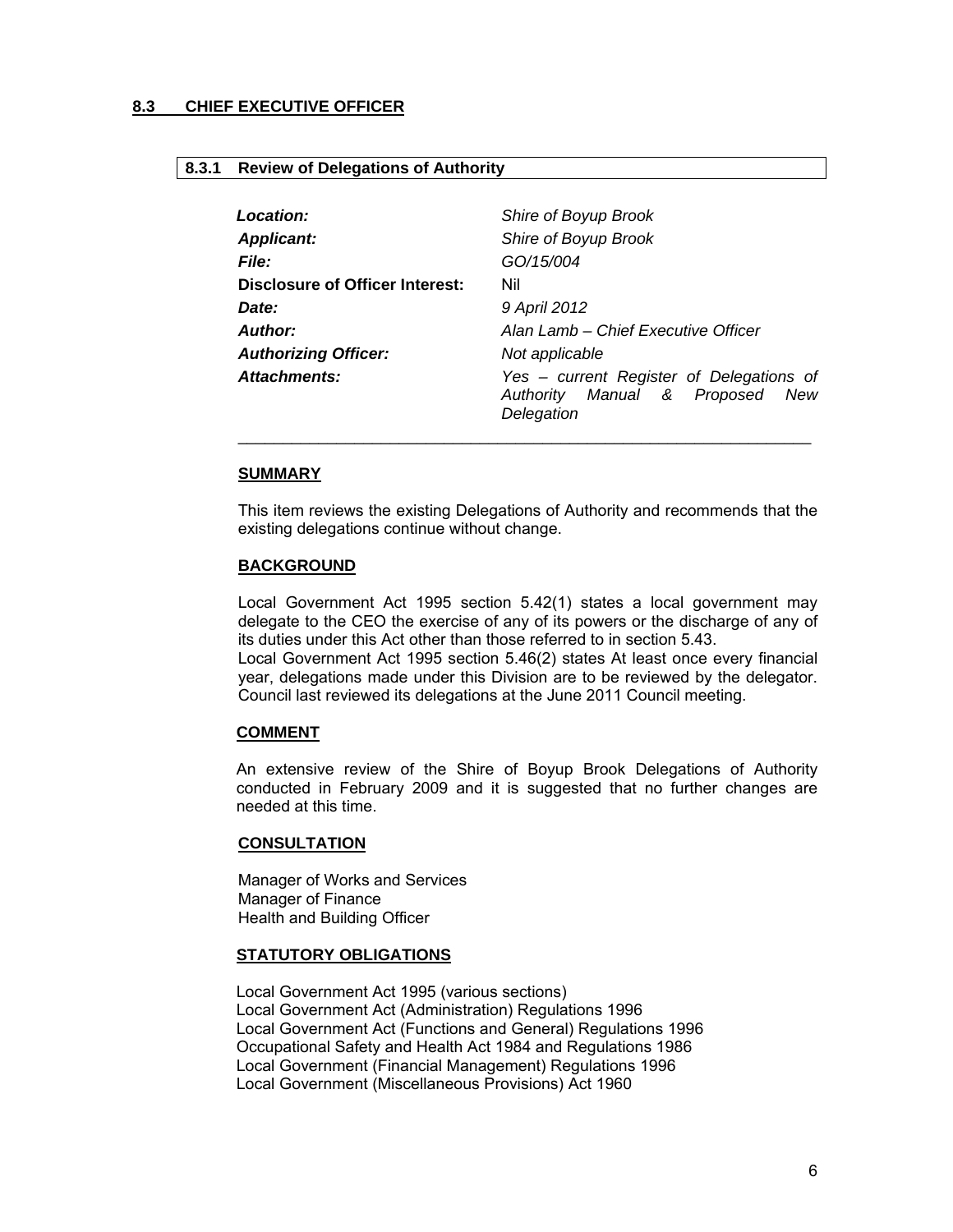# **8.3 CHIEF EXECUTIVE OFFICER**

#### **8.3.1 Review of Delegations of Authority**

| <b>Location:</b>                | Shire of Boyup Brook                                                                         |
|---------------------------------|----------------------------------------------------------------------------------------------|
| <b>Applicant:</b>               | Shire of Boyup Brook                                                                         |
| <b>File:</b>                    | GO/15/004                                                                                    |
| Disclosure of Officer Interest: | Nil                                                                                          |
| <i>Date:</i>                    | 9 April 2012                                                                                 |
| <b>Author:</b>                  | Alan Lamb – Chief Executive Officer                                                          |
| <b>Authorizing Officer:</b>     | Not applicable                                                                               |
| Attachments:                    | Yes - current Register of Delegations of<br>Authority Manual & Proposed<br>New<br>Delegation |

#### **SUMMARY**

This item reviews the existing Delegations of Authority and recommends that the existing delegations continue without change.

\_\_\_\_\_\_\_\_\_\_\_\_\_\_\_\_\_\_\_\_\_\_\_\_\_\_\_\_\_\_\_\_\_\_\_\_\_\_\_\_\_\_\_\_\_\_\_\_\_\_\_\_\_\_\_\_\_\_\_\_\_\_\_\_

#### **BACKGROUND**

Local Government Act 1995 section 5.42(1) states a local government may delegate to the CEO the exercise of any of its powers or the discharge of any of its duties under this Act other than those referred to in section 5.43. Local Government Act 1995 section 5.46(2) states At least once every financial year, delegations made under this Division are to be reviewed by the delegator.

Council last reviewed its delegations at the June 2011 Council meeting.

#### **COMMENT**

An extensive review of the Shire of Boyup Brook Delegations of Authority conducted in February 2009 and it is suggested that no further changes are needed at this time.

#### **CONSULTATION**

Manager of Works and Services Manager of Finance Health and Building Officer

#### **STATUTORY OBLIGATIONS**

Local Government Act 1995 (various sections) Local Government Act (Administration) Regulations 1996 Local Government Act (Functions and General) Regulations 1996 Occupational Safety and Health Act 1984 and Regulations 1986 Local Government (Financial Management) Regulations 1996 Local Government (Miscellaneous Provisions) Act 1960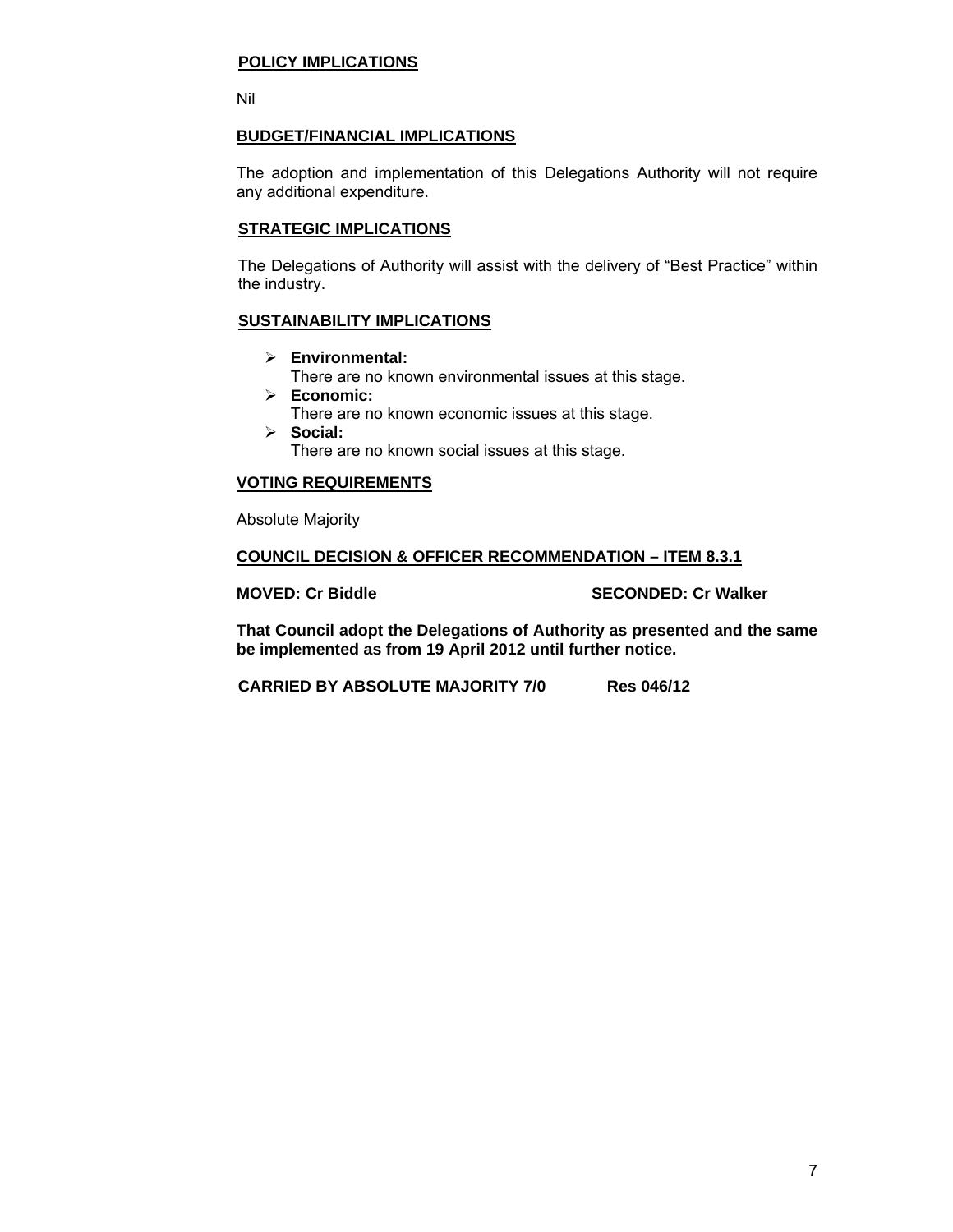#### **POLICY IMPLICATIONS**

Nil

# **BUDGET/FINANCIAL IMPLICATIONS**

The adoption and implementation of this Delegations Authority will not require any additional expenditure.

#### **STRATEGIC IMPLICATIONS**

The Delegations of Authority will assist with the delivery of "Best Practice" within the industry.

# **SUSTAINABILITY IMPLICATIONS**

- ¾ **Environmental:** 
	- There are no known environmental issues at this stage.
- ¾ **Economic:**
	- There are no known economic issues at this stage.
- ¾ **Social:**

There are no known social issues at this stage.

# **VOTING REQUIREMENTS**

Absolute Majority

### **COUNCIL DECISION & OFFICER RECOMMENDATION – ITEM 8.3.1**

### **MOVED: Cr Biddle SECONDED: Cr Walker**

**That Council adopt the Delegations of Authority as presented and the same be implemented as from 19 April 2012 until further notice.** 

**CARRIED BY ABSOLUTE MAJORITY 7/0 Res 046/12**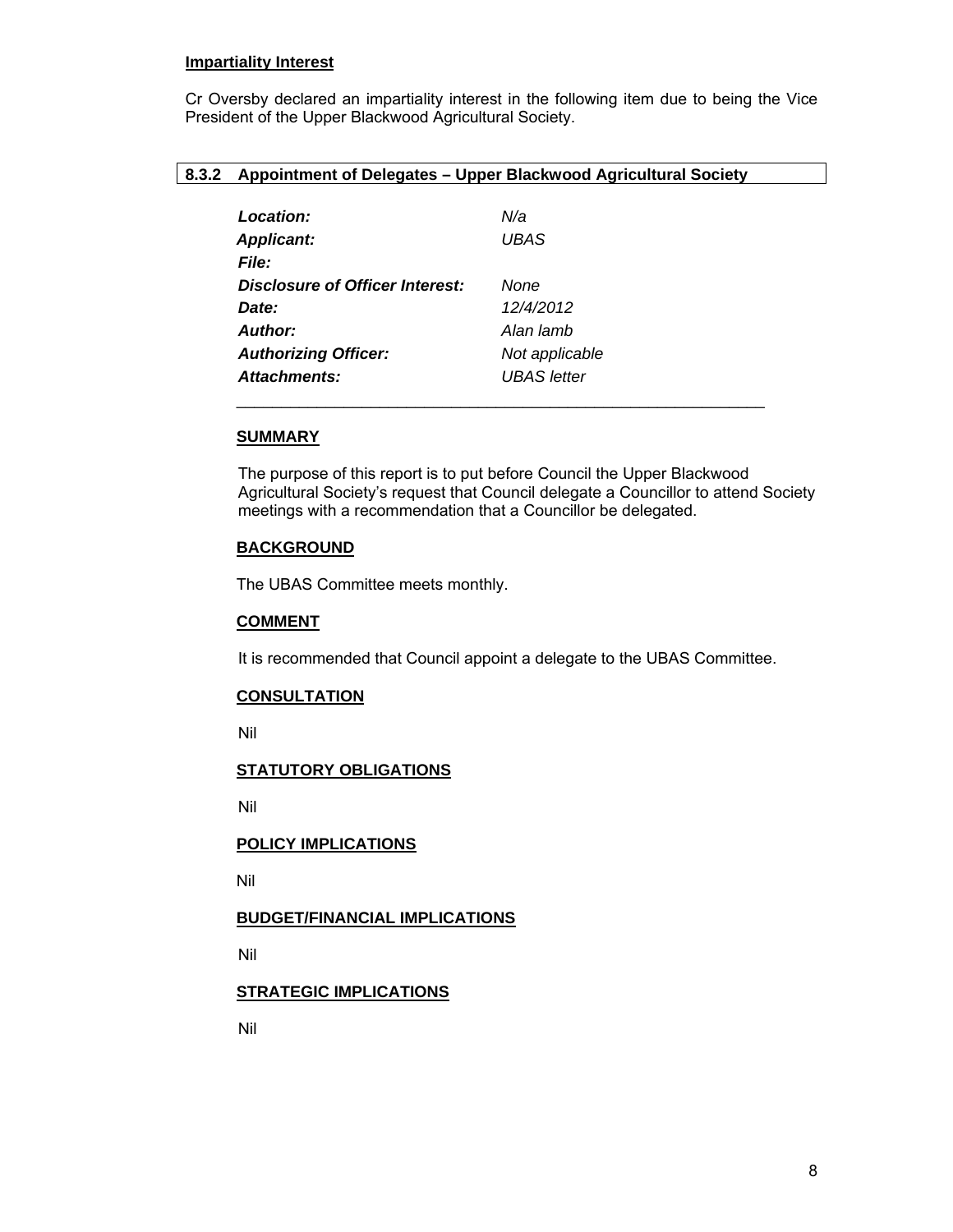#### **Impartiality Interest**

Cr Oversby declared an impartiality interest in the following item due to being the Vice President of the Upper Blackwood Agricultural Society.

#### **8.3.2 Appointment of Delegates – Upper Blackwood Agricultural Society**

| Location:                       | N/a                |
|---------------------------------|--------------------|
| <b>Applicant:</b>               | <b>UBAS</b>        |
| <b>File:</b>                    |                    |
| Disclosure of Officer Interest: | None               |
| Date:                           | 12/4/2012          |
| Author:                         | Alan lamb          |
| <b>Authorizing Officer:</b>     | Not applicable     |
| Attachments:                    | <b>UBAS</b> letter |
|                                 |                    |

# **SUMMARY**

The purpose of this report is to put before Council the Upper Blackwood Agricultural Society's request that Council delegate a Councillor to attend Society meetings with a recommendation that a Councillor be delegated.

## **BACKGROUND**

The UBAS Committee meets monthly.

#### **COMMENT**

It is recommended that Council appoint a delegate to the UBAS Committee.

#### **CONSULTATION**

Nil

#### **STATUTORY OBLIGATIONS**

Nil

# **POLICY IMPLICATIONS**

Nil

# **BUDGET/FINANCIAL IMPLICATIONS**

Nil

# **STRATEGIC IMPLICATIONS**

Nil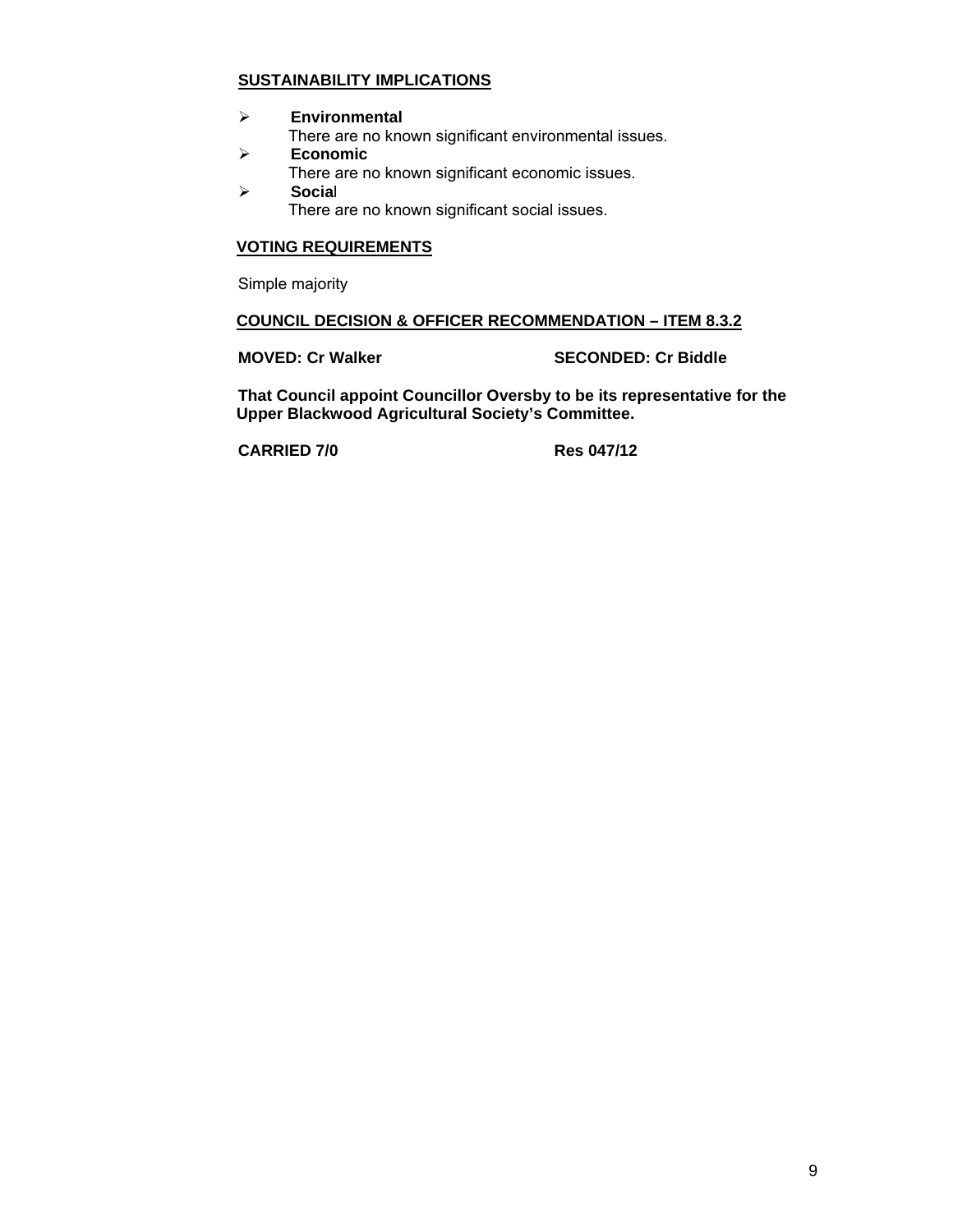# **SUSTAINABILITY IMPLICATIONS**

¾ **Environmental** 

There are no known significant environmental issues.

- ¾ **Economic**  There are no known significant economic issues.
- ¾ **Socia**l

There are no known significant social issues.

# **VOTING REQUIREMENTS**

Simple majority

### **COUNCIL DECISION & OFFICER RECOMMENDATION – ITEM 8.3.2**

**MOVED: Cr Walker SECONDED: Cr Biddle** 

**That Council appoint Councillor Oversby to be its representative for the Upper Blackwood Agricultural Society's Committee.** 

**CARRIED 7/0 Res 047/12**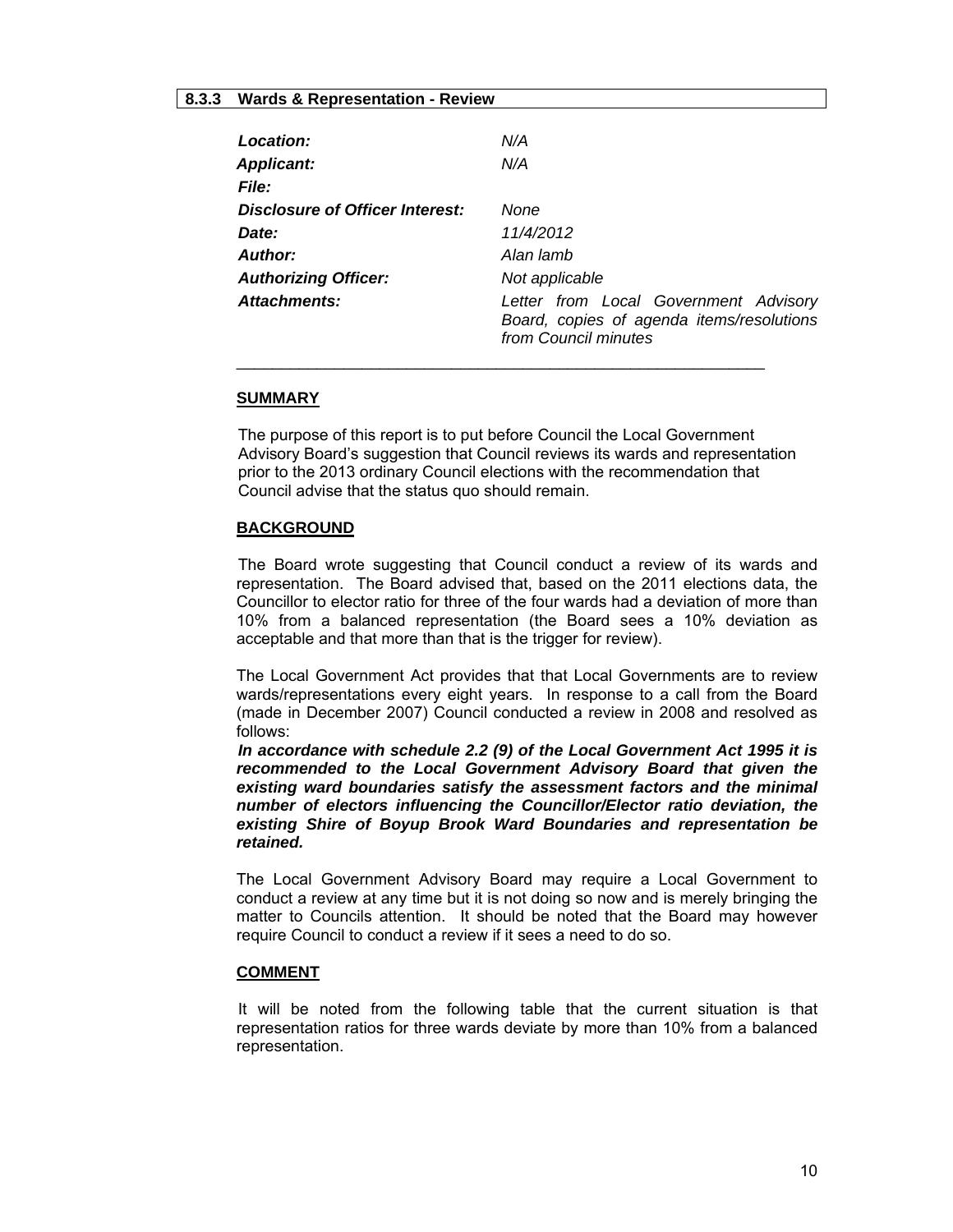# **8.3.3 Wards & Representation - Review**

| Location:                              | N/A                                                                                                        |  |  |  |
|----------------------------------------|------------------------------------------------------------------------------------------------------------|--|--|--|
| <b>Applicant:</b>                      | N/A                                                                                                        |  |  |  |
| <b>File:</b>                           |                                                                                                            |  |  |  |
| <b>Disclosure of Officer Interest:</b> | None                                                                                                       |  |  |  |
| Date:                                  | 11/4/2012                                                                                                  |  |  |  |
| Author:                                | Alan lamb                                                                                                  |  |  |  |
| <b>Authorizing Officer:</b>            | Not applicable                                                                                             |  |  |  |
| Attachments:                           | Letter from Local Government Advisory<br>Board, copies of agenda items/resolutions<br>from Council minutes |  |  |  |

#### **SUMMARY**

The purpose of this report is to put before Council the Local Government Advisory Board's suggestion that Council reviews its wards and representation prior to the 2013 ordinary Council elections with the recommendation that Council advise that the status quo should remain.

 $\frac{1}{2}$  ,  $\frac{1}{2}$  ,  $\frac{1}{2}$  ,  $\frac{1}{2}$  ,  $\frac{1}{2}$  ,  $\frac{1}{2}$  ,  $\frac{1}{2}$  ,  $\frac{1}{2}$  ,  $\frac{1}{2}$  ,  $\frac{1}{2}$  ,  $\frac{1}{2}$  ,  $\frac{1}{2}$  ,  $\frac{1}{2}$  ,  $\frac{1}{2}$  ,  $\frac{1}{2}$  ,  $\frac{1}{2}$  ,  $\frac{1}{2}$  ,  $\frac{1}{2}$  ,  $\frac{1$ 

#### **BACKGROUND**

 The Board wrote suggesting that Council conduct a review of its wards and representation. The Board advised that, based on the 2011 elections data, the Councillor to elector ratio for three of the four wards had a deviation of more than 10% from a balanced representation (the Board sees a 10% deviation as acceptable and that more than that is the trigger for review).

The Local Government Act provides that that Local Governments are to review wards/representations every eight years. In response to a call from the Board (made in December 2007) Council conducted a review in 2008 and resolved as follows:

*In accordance with schedule 2.2 (9) of the Local Government Act 1995 it is recommended to the Local Government Advisory Board that given the existing ward boundaries satisfy the assessment factors and the minimal number of electors influencing the Councillor/Elector ratio deviation, the existing Shire of Boyup Brook Ward Boundaries and representation be retained.* 

The Local Government Advisory Board may require a Local Government to conduct a review at any time but it is not doing so now and is merely bringing the matter to Councils attention. It should be noted that the Board may however require Council to conduct a review if it sees a need to do so.

#### **COMMENT**

 It will be noted from the following table that the current situation is that representation ratios for three wards deviate by more than 10% from a balanced representation.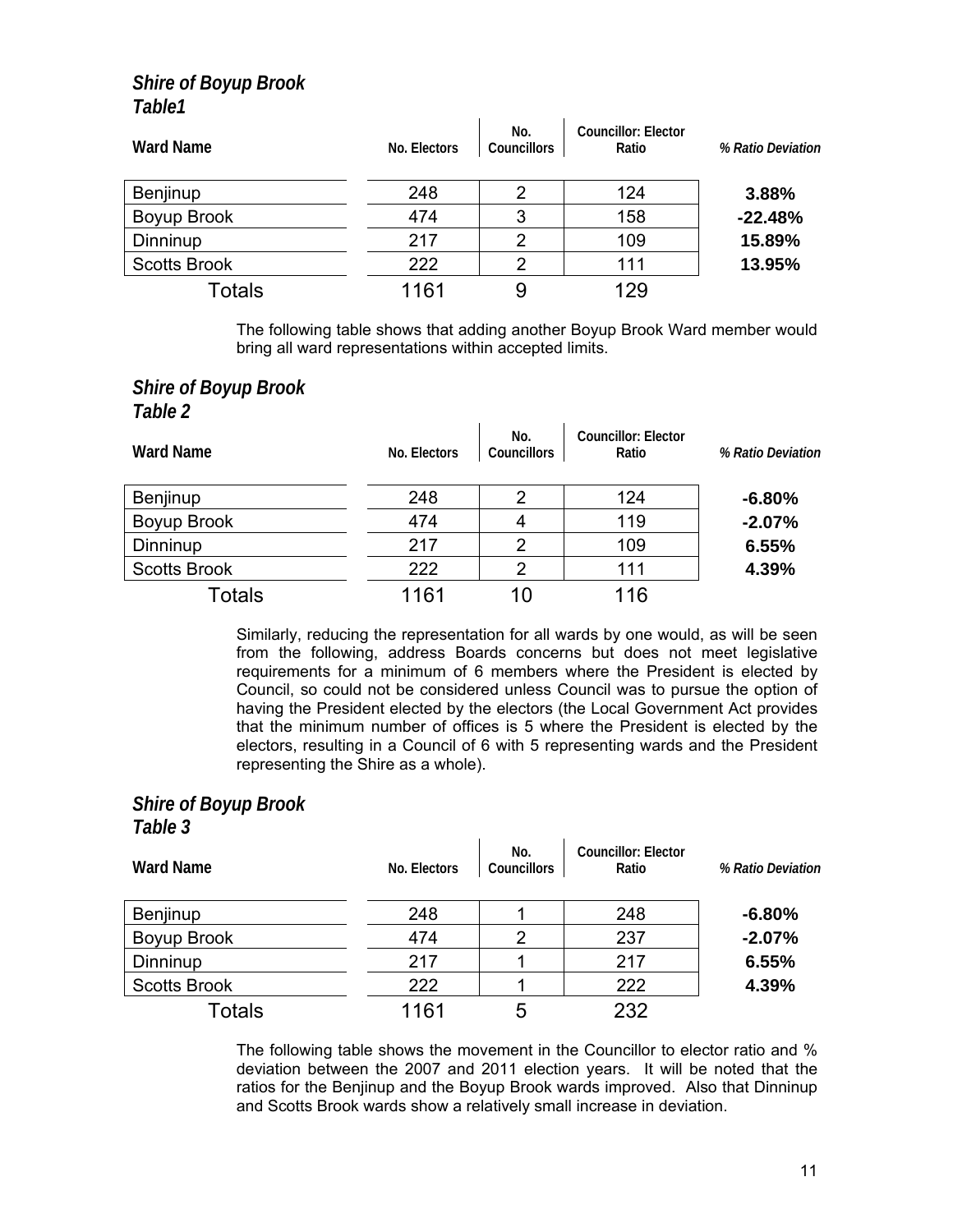# *Shire of Boyup Brook Table1*

| <b>Ward Name</b>    | No. Electors | No.<br><b>Councillors</b> | Councillor: Elector<br>Ratio | % Ratio Deviation |
|---------------------|--------------|---------------------------|------------------------------|-------------------|
| Benjinup            | 248          | 2                         | 124                          | 3.88%             |
| Boyup Brook         | 474          | 3                         | 158                          | $-22.48%$         |
| Dinninup            | 217          | 2                         | 109                          | 15.89%            |
| <b>Scotts Brook</b> | 222          | $\mathcal{P}$             | 111                          | 13.95%            |
| Totals              | 1161         | 9                         | 129                          |                   |

The following table shows that adding another Boyup Brook Ward member would bring all ward representations within accepted limits.

# *Shire of Boyup Brook Table 2*

| <b>Ward Name</b>    | No. Electors | No.<br>Councillors | Councillor: Elector<br>Ratio | % Ratio Deviation |
|---------------------|--------------|--------------------|------------------------------|-------------------|
| Benjinup            | 248          | 2                  | 124                          | $-6.80%$          |
| Boyup Brook         | 474          | 4                  | 119                          | $-2.07%$          |
| Dinninup            | 217          | 2                  | 109                          | 6.55%             |
| <b>Scotts Brook</b> | 222          | 2                  | 111                          | 4.39%             |
| Totals              | 1161         | 10                 | 116                          |                   |

Similarly, reducing the representation for all wards by one would, as will be seen from the following, address Boards concerns but does not meet legislative requirements for a minimum of 6 members where the President is elected by Council, so could not be considered unless Council was to pursue the option of having the President elected by the electors (the Local Government Act provides that the minimum number of offices is 5 where the President is elected by the electors, resulting in a Council of 6 with 5 representing wards and the President representing the Shire as a whole).

# *Shire of Boyup Brook Table 3*

| <b>Ward Name</b>    | No. Electors | No.<br>Councillors | Councillor: Elector<br>Ratio | % Ratio Deviation |
|---------------------|--------------|--------------------|------------------------------|-------------------|
| Benjinup            | 248          |                    | 248                          | $-6.80%$          |
| Boyup Brook         | 474          | 2                  | 237                          | $-2.07%$          |
| Dinninup            | 217          |                    | 217                          | 6.55%             |
| <b>Scotts Brook</b> | 222          |                    | 222                          | 4.39%             |
| Totals              | 1161         | 5                  | 232                          |                   |

The following table shows the movement in the Councillor to elector ratio and % deviation between the 2007 and 2011 election years. It will be noted that the ratios for the Benjinup and the Boyup Brook wards improved. Also that Dinninup and Scotts Brook wards show a relatively small increase in deviation.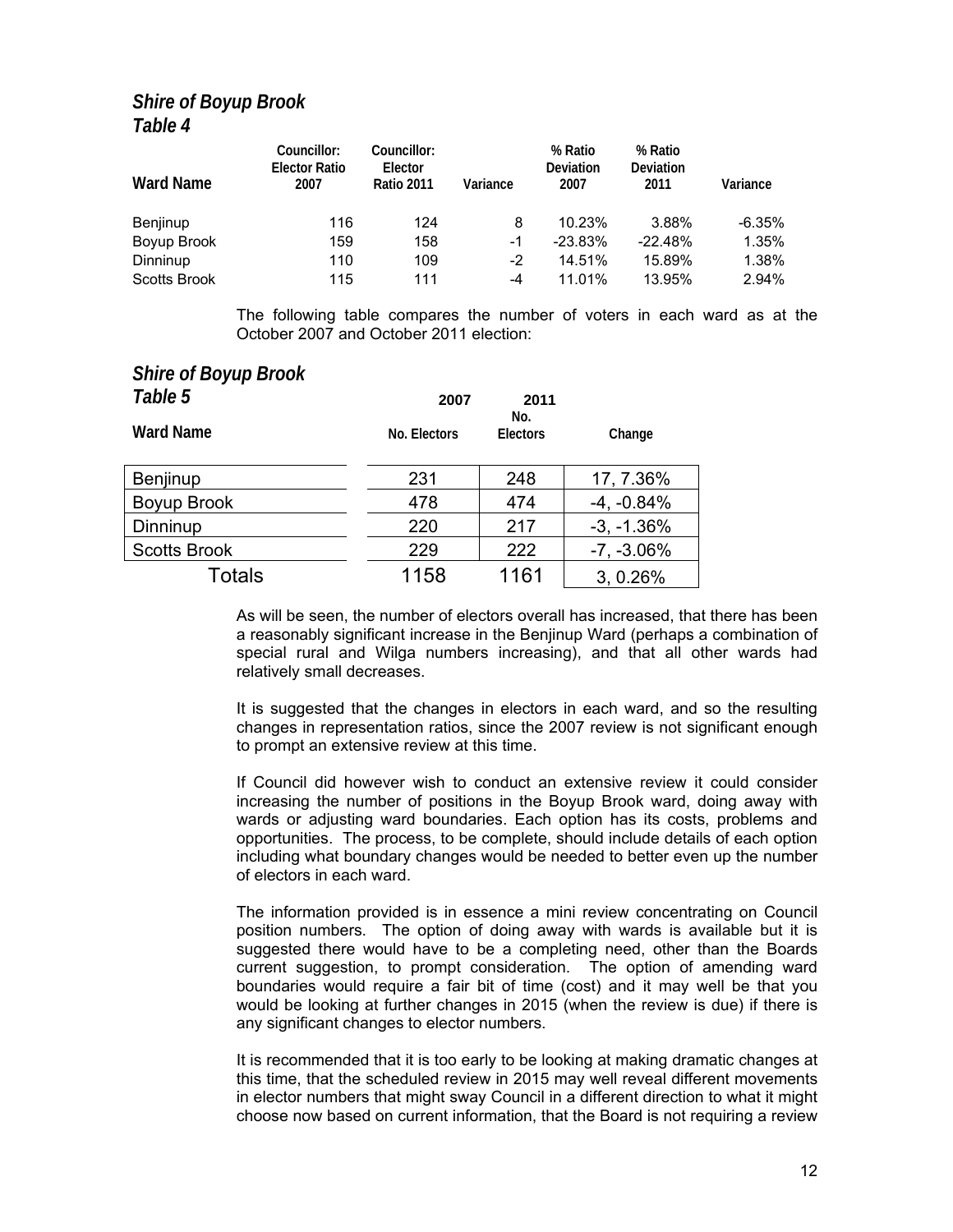# *Shire of Boyup Brook Table 4*

| <b>Ward Name</b>    | Councillor:<br><b>Elector Ratio</b><br>2007 | Councillor:<br>Elector<br><b>Ratio 2011</b> | Variance | % Ratio<br>Deviation<br>2007 | % Ratio<br>Deviation<br>2011 | Variance |
|---------------------|---------------------------------------------|---------------------------------------------|----------|------------------------------|------------------------------|----------|
| Benjinup            | 116                                         | 124                                         | 8        | 10.23%                       | 3.88%                        | $-6.35%$ |
| Boyup Brook         | 159                                         | 158                                         | -1       | $-23.83%$                    | $-22.48%$                    | 1.35%    |
| Dinninup            | 110                                         | 109                                         | -2       | 14.51%                       | 15.89%                       | 1.38%    |
| <b>Scotts Brook</b> | 115                                         | 111                                         | -4       | 11.01%                       | 13.95%                       | 2.94%    |

The following table compares the number of voters in each ward as at the October 2007 and October 2011 election:

# *Shire of Boyup Brook*

| Table 5             | 2007         |                 |               |  |
|---------------------|--------------|-----------------|---------------|--|
| <b>Ward Name</b>    | No. Electors | No.<br>Electors | Change        |  |
| Benjinup            | 231          | 248             | 17, 7.36%     |  |
| Boyup Brook         | 478          | 474             | $-4, -0.84%$  |  |
| Dinninup            | 220          | 217             | $-3, -1.36%$  |  |
| <b>Scotts Brook</b> | 229          | 222             | $-7, -3.06\%$ |  |
| Totals              | 1158         | 1161            | 3, 0.26%      |  |

As will be seen, the number of electors overall has increased, that there has been a reasonably significant increase in the Benjinup Ward (perhaps a combination of special rural and Wilga numbers increasing), and that all other wards had relatively small decreases.

It is suggested that the changes in electors in each ward, and so the resulting changes in representation ratios, since the 2007 review is not significant enough to prompt an extensive review at this time.

If Council did however wish to conduct an extensive review it could consider increasing the number of positions in the Boyup Brook ward, doing away with wards or adjusting ward boundaries. Each option has its costs, problems and opportunities. The process, to be complete, should include details of each option including what boundary changes would be needed to better even up the number of electors in each ward.

The information provided is in essence a mini review concentrating on Council position numbers. The option of doing away with wards is available but it is suggested there would have to be a completing need, other than the Boards current suggestion, to prompt consideration. The option of amending ward boundaries would require a fair bit of time (cost) and it may well be that you would be looking at further changes in 2015 (when the review is due) if there is any significant changes to elector numbers.

It is recommended that it is too early to be looking at making dramatic changes at this time, that the scheduled review in 2015 may well reveal different movements in elector numbers that might sway Council in a different direction to what it might choose now based on current information, that the Board is not requiring a review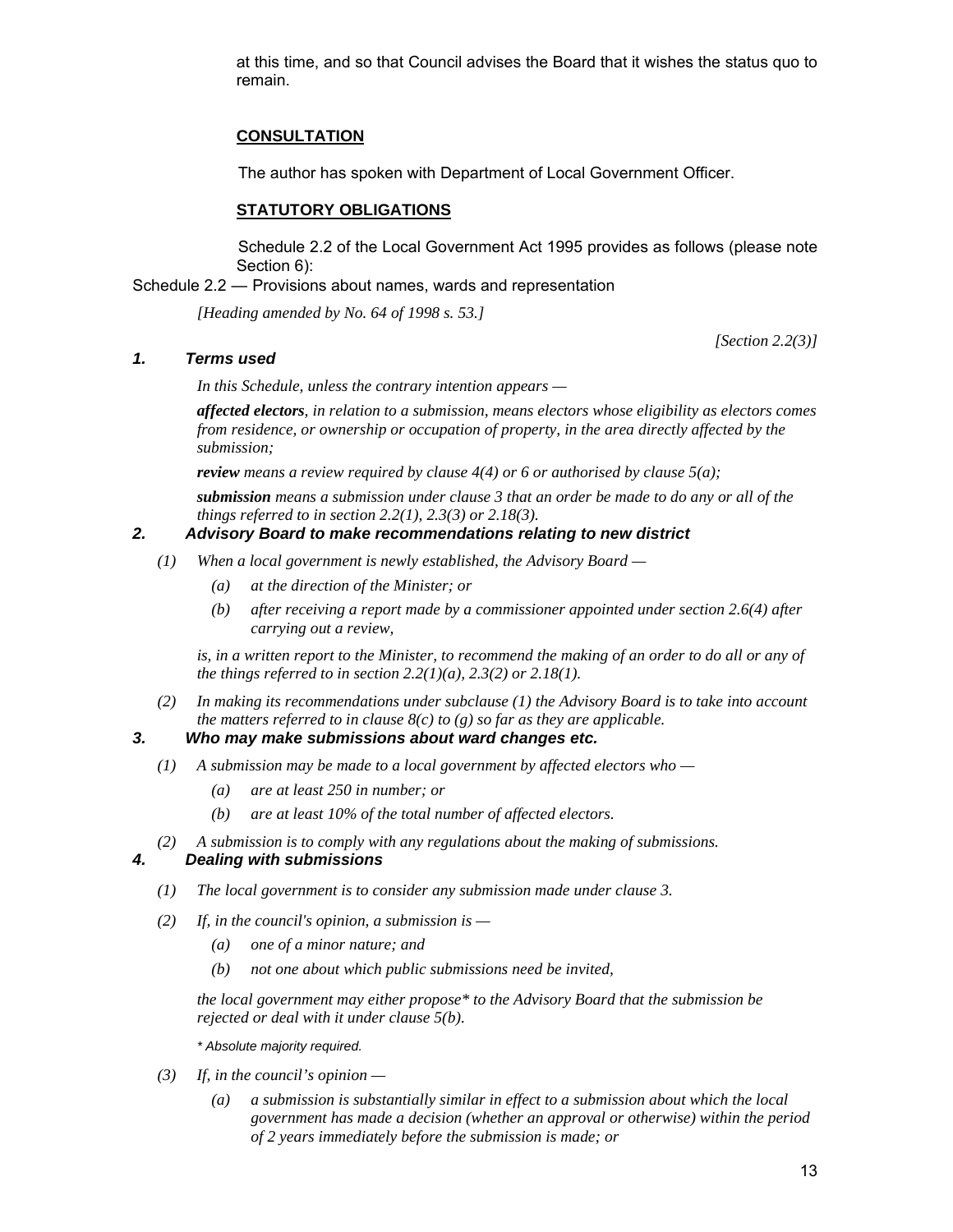at this time, and so that Council advises the Board that it wishes the status quo to remain.

# **CONSULTATION**

The author has spoken with Department of Local Government Officer.

# **STATUTORY OBLIGATIONS**

 Schedule 2.2 of the Local Government Act 1995 provides as follows (please note Section 6):

Schedule 2.2 — Provisions about names, wards and representation

 *[Heading amended by No. 64 of 1998 s. 53.]* 

*[Section 2.2(3)]* 

# *1. Terms used*

 *In this Schedule, unless the contrary intention appears —* 

 *affected electors, in relation to a submission, means electors whose eligibility as electors comes from residence, or ownership or occupation of property, in the area directly affected by the submission;* 

 *review means a review required by clause 4(4) or 6 or authorised by clause 5(a);* 

 *submission means a submission under clause 3 that an order be made to do any or all of the things referred to in section 2.2(1), 2.3(3) or 2.18(3).* 

## *2. Advisory Board to make recommendations relating to new district*

- *(1) When a local government is newly established, the Advisory Board* 
	- *(a) at the direction of the Minister; or*
	- *(b) after receiving a report made by a commissioner appointed under section 2.6(4) after carrying out a review,*

is, in a written report to the Minister, to recommend the making of an order to do all or any of *the things referred to in section 2.2(1)(a), 2.3(2) or 2.18(1).* 

 *(2) In making its recommendations under subclause (1) the Advisory Board is to take into account the matters referred to in clause 8(c) to (g) so far as they are applicable.* 

#### *3. Who may make submissions about ward changes etc.*

- *(1) A submission may be made to a local government by affected electors who* 
	- *(a) are at least 250 in number; or*
	- *(b) are at least 10% of the total number of affected electors.*
- *(2) A submission is to comply with any regulations about the making of submissions. 4. Dealing with submissions* 
	- *(1) The local government is to consider any submission made under clause 3.*
	- *(2) If, in the council's opinion, a submission is* 
		- *(a) one of a minor nature; and*
		- *(b) not one about which public submissions need be invited,*

 *the local government may either propose\* to the Advisory Board that the submission be rejected or deal with it under clause 5(b).* 

 *\* Absolute majority required.* 

- *(3) If, in the council's opinion* 
	- *(a) a submission is substantially similar in effect to a submission about which the local government has made a decision (whether an approval or otherwise) within the period of 2 years immediately before the submission is made; or*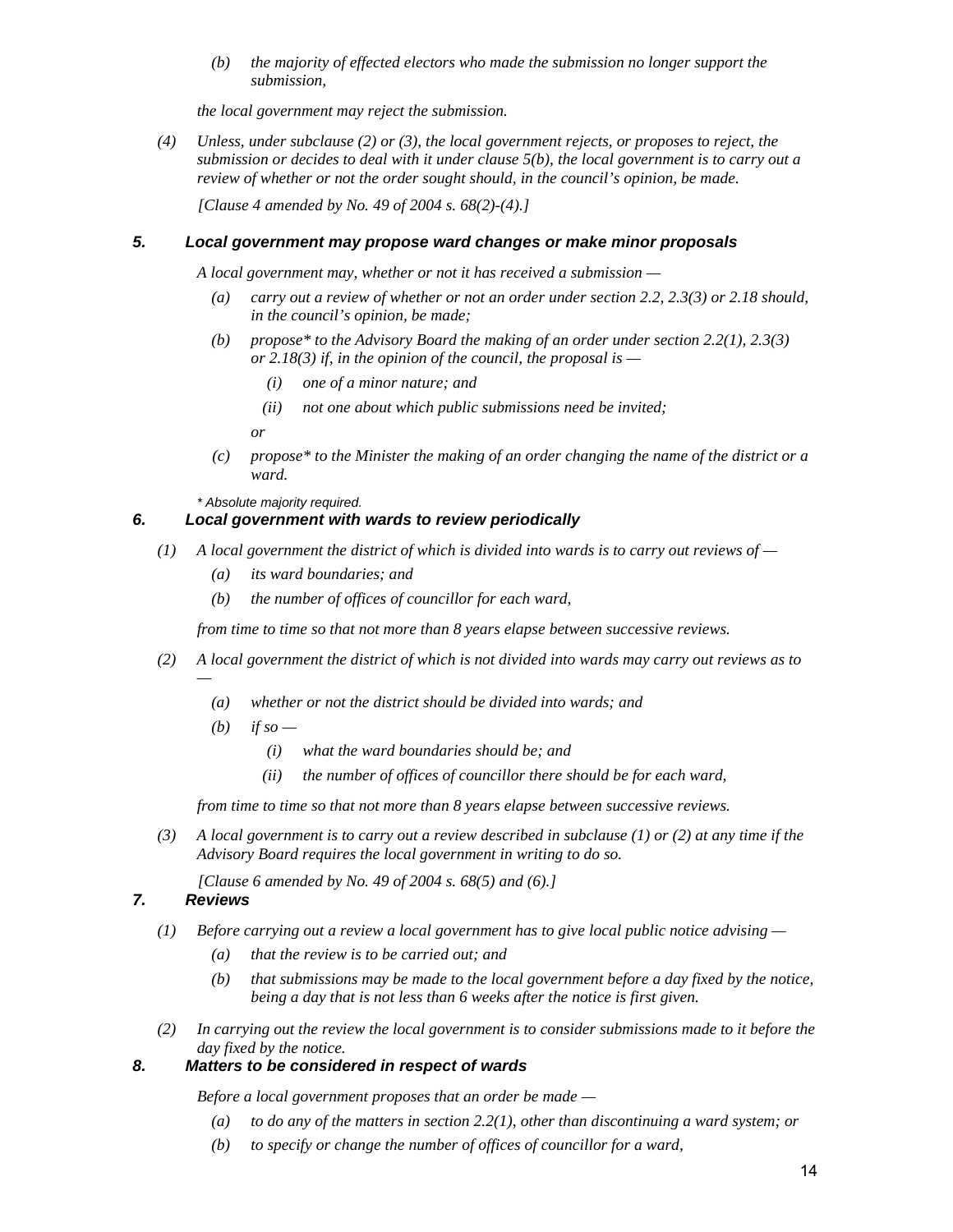*(b) the majority of effected electors who made the submission no longer support the submission,* 

 *the local government may reject the submission.* 

 *(4) Unless, under subclause (2) or (3), the local government rejects, or proposes to reject, the submission or decides to deal with it under clause 5(b), the local government is to carry out a review of whether or not the order sought should, in the council's opinion, be made.* 

 *[Clause 4 amended by No. 49 of 2004 s. 68(2)-(4).]* 

### *5. Local government may propose ward changes or make minor proposals*

 *A local government may, whether or not it has received a submission —* 

- *(a) carry out a review of whether or not an order under section 2.2, 2.3(3) or 2.18 should, in the council's opinion, be made;*
- *(b) propose\* to the Advisory Board the making of an order under section 2.2(1), 2.3(3) or 2.18(3) if, in the opinion of the council, the proposal is —* 
	- *(i) one of a minor nature; and*
	- *(ii) not one about which public submissions need be invited;*

 *or* 

 *(c) propose\* to the Minister the making of an order changing the name of the district or a ward.* 

 *\* Absolute majority required.* 

# *6. Local government with wards to review periodically*

- *(1) A local government the district of which is divided into wards is to carry out reviews of* 
	- *(a) its ward boundaries; and*
	- *(b) the number of offices of councillor for each ward,*

 *from time to time so that not more than 8 years elapse between successive reviews.* 

- *(2) A local government the district of which is not divided into wards may carry out reviews as to* 
	- *(a) whether or not the district should be divided into wards; and*
	- $(b)$  *if so* 
		- *(i) what the ward boundaries should be; and*
		- *(ii) the number of offices of councillor there should be for each ward,*

 *from time to time so that not more than 8 years elapse between successive reviews.* 

 *(3) A local government is to carry out a review described in subclause (1) or (2) at any time if the Advisory Board requires the local government in writing to do so.* 

 *[Clause 6 amended by No. 49 of 2004 s. 68(5) and (6).]* 

#### *7. Reviews*

*—* 

- *(1) Before carrying out a review a local government has to give local public notice advising* 
	- *(a) that the review is to be carried out; and*
	- *(b) that submissions may be made to the local government before a day fixed by the notice, being a day that is not less than 6 weeks after the notice is first given.*
- *(2) In carrying out the review the local government is to consider submissions made to it before the day fixed by the notice.*

# *8. Matters to be considered in respect of wards*

 *Before a local government proposes that an order be made —* 

- *(a) to do any of the matters in section 2.2(1), other than discontinuing a ward system; or*
- *(b) to specify or change the number of offices of councillor for a ward,*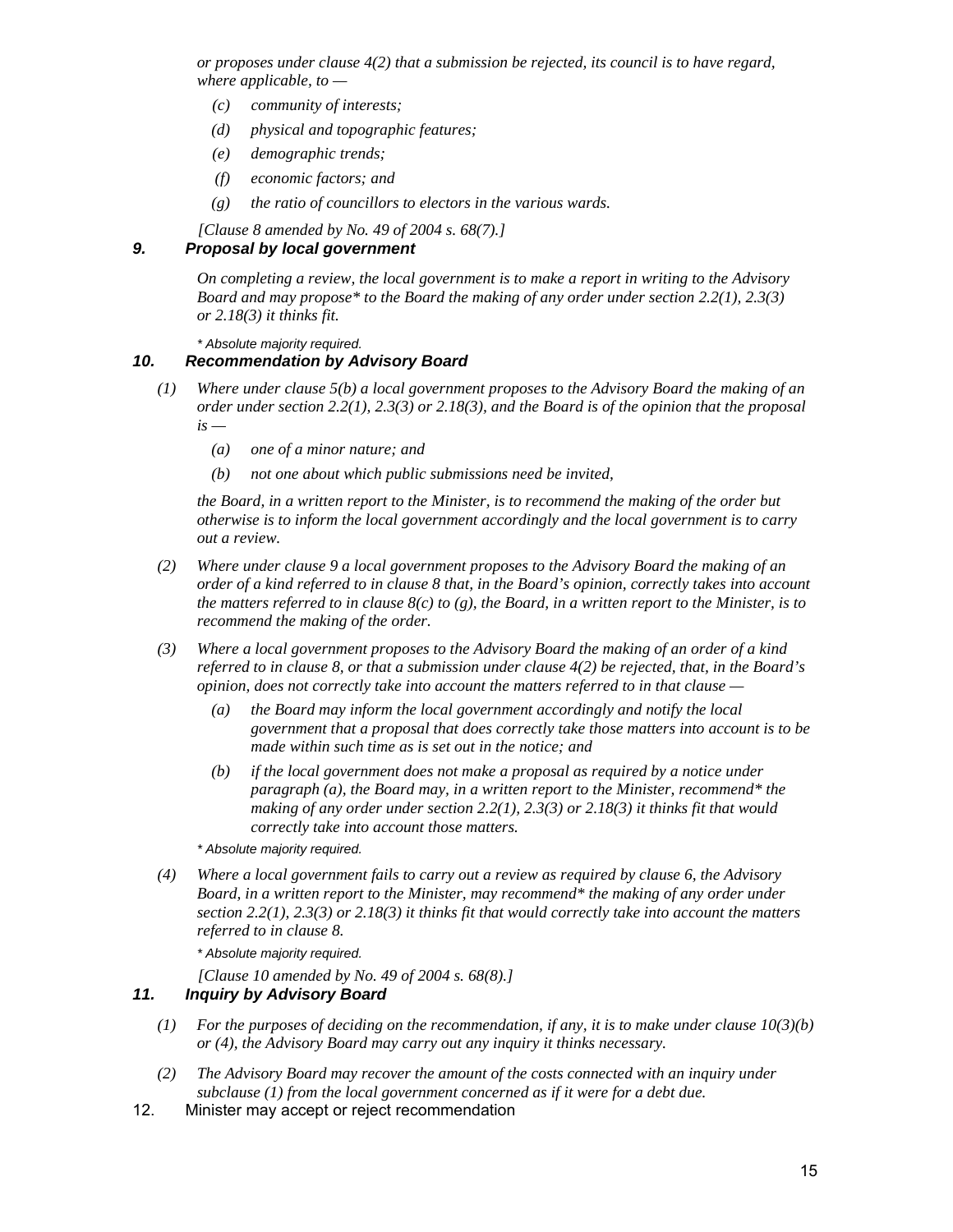*or proposes under clause 4(2) that a submission be rejected, its council is to have regard, where applicable, to —* 

- *(c) community of interests;*
- *(d) physical and topographic features;*
- *(e) demographic trends;*
- *(f) economic factors; and*
- *(g) the ratio of councillors to electors in the various wards.*
- *[Clause 8 amended by No. 49 of 2004 s. 68(7).]*

#### *9. Proposal by local government*

 *On completing a review, the local government is to make a report in writing to the Advisory Board and may propose\* to the Board the making of any order under section 2.2(1), 2.3(3) or 2.18(3) it thinks fit.* 

 *\* Absolute majority required.* 

#### *10. Recommendation by Advisory Board*

- *(1) Where under clause 5(b) a local government proposes to the Advisory Board the making of an order under section 2.2(1), 2.3(3) or 2.18(3), and the Board is of the opinion that the proposal*   $is -$ 
	- *(a) one of a minor nature; and*
	- *(b) not one about which public submissions need be invited,*

 *the Board, in a written report to the Minister, is to recommend the making of the order but otherwise is to inform the local government accordingly and the local government is to carry out a review.* 

- *(2) Where under clause 9 a local government proposes to the Advisory Board the making of an order of a kind referred to in clause 8 that, in the Board's opinion, correctly takes into account the matters referred to in clause 8(c) to (g), the Board, in a written report to the Minister, is to recommend the making of the order.*
- *(3) Where a local government proposes to the Advisory Board the making of an order of a kind referred to in clause 8, or that a submission under clause 4(2) be rejected, that, in the Board's opinion, does not correctly take into account the matters referred to in that clause —* 
	- *(a) the Board may inform the local government accordingly and notify the local government that a proposal that does correctly take those matters into account is to be made within such time as is set out in the notice; and*
	- *(b) if the local government does not make a proposal as required by a notice under paragraph (a), the Board may, in a written report to the Minister, recommend\* the making of any order under section 2.2(1), 2.3(3) or 2.18(3) it thinks fit that would correctly take into account those matters.*

 *\* Absolute majority required.* 

 *(4) Where a local government fails to carry out a review as required by clause 6, the Advisory Board, in a written report to the Minister, may recommend\* the making of any order under section 2.2(1), 2.3(3) or 2.18(3) it thinks fit that would correctly take into account the matters referred to in clause 8.* 

 *\* Absolute majority required.* 

 *[Clause 10 amended by No. 49 of 2004 s. 68(8).]* 

#### *11. Inquiry by Advisory Board*

- *(1) For the purposes of deciding on the recommendation, if any, it is to make under clause 10(3)(b) or (4), the Advisory Board may carry out any inquiry it thinks necessary.*
- *(2) The Advisory Board may recover the amount of the costs connected with an inquiry under subclause (1) from the local government concerned as if it were for a debt due.*
- 12. Minister may accept or reject recommendation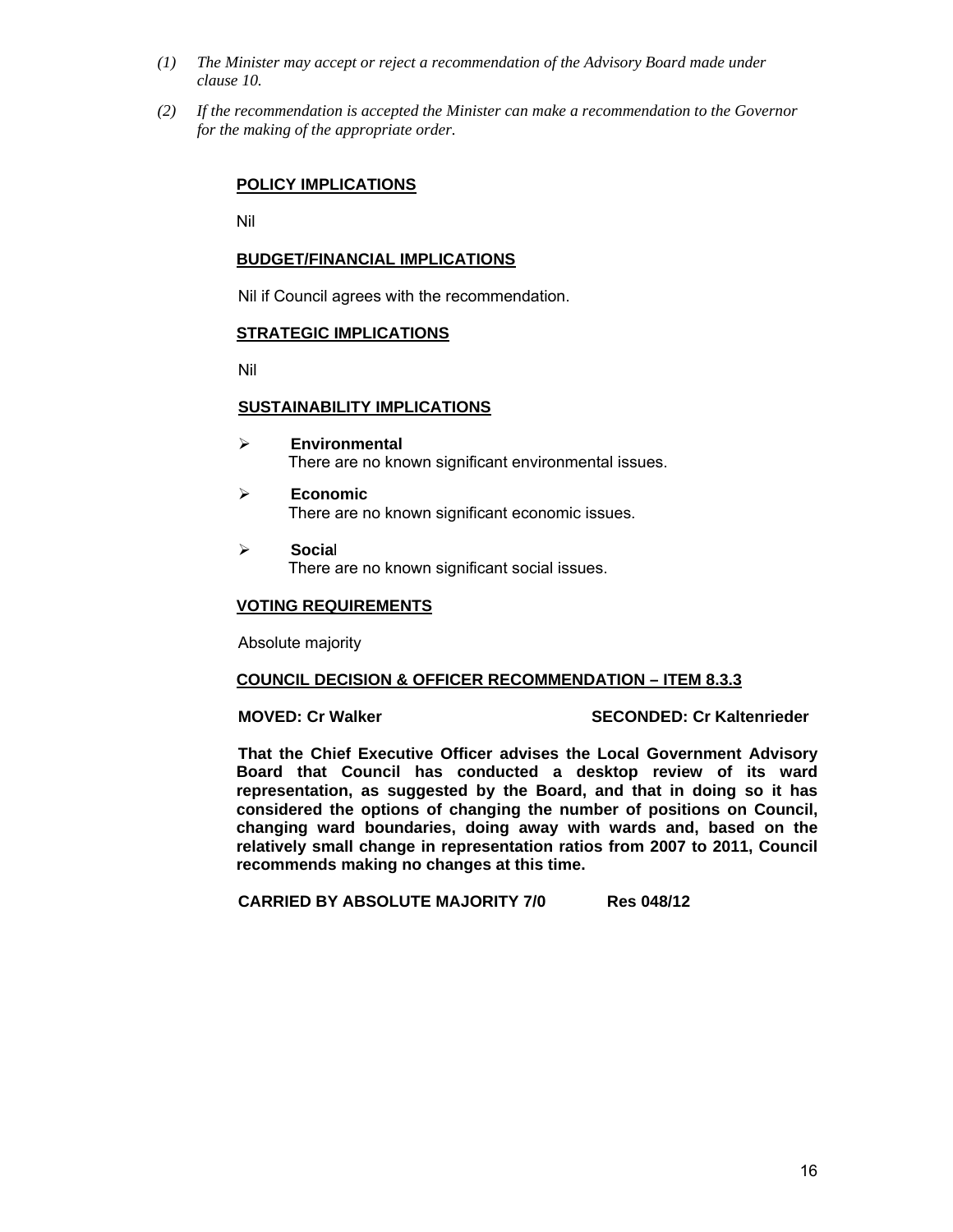- *(1) The Minister may accept or reject a recommendation of the Advisory Board made under clause 10.*
- *(2) If the recommendation is accepted the Minister can make a recommendation to the Governor for the making of the appropriate order.*

## **POLICY IMPLICATIONS**

Nil

#### **BUDGET/FINANCIAL IMPLICATIONS**

Nil if Council agrees with the recommendation.

### **STRATEGIC IMPLICATIONS**

Nil

### **SUSTAINABILITY IMPLICATIONS**

- ¾ **Environmental**  There are no known significant environmental issues.
- ¾ **Economic**  There are no known significant economic issues.
- ¾ **Socia**l There are no known significant social issues.

#### **VOTING REQUIREMENTS**

Absolute majority

# **COUNCIL DECISION & OFFICER RECOMMENDATION – ITEM 8.3.3**

#### **MOVED: Cr Walker SECONDED: Cr Kaltenrieder CONDED: Cr SECONDED: Cr Kaltenrieder**

**That the Chief Executive Officer advises the Local Government Advisory Board that Council has conducted a desktop review of its ward representation, as suggested by the Board, and that in doing so it has considered the options of changing the number of positions on Council, changing ward boundaries, doing away with wards and, based on the relatively small change in representation ratios from 2007 to 2011, Council recommends making no changes at this time.** 

**CARRIED BY ABSOLUTE MAJORITY 7/0 Res 048/12**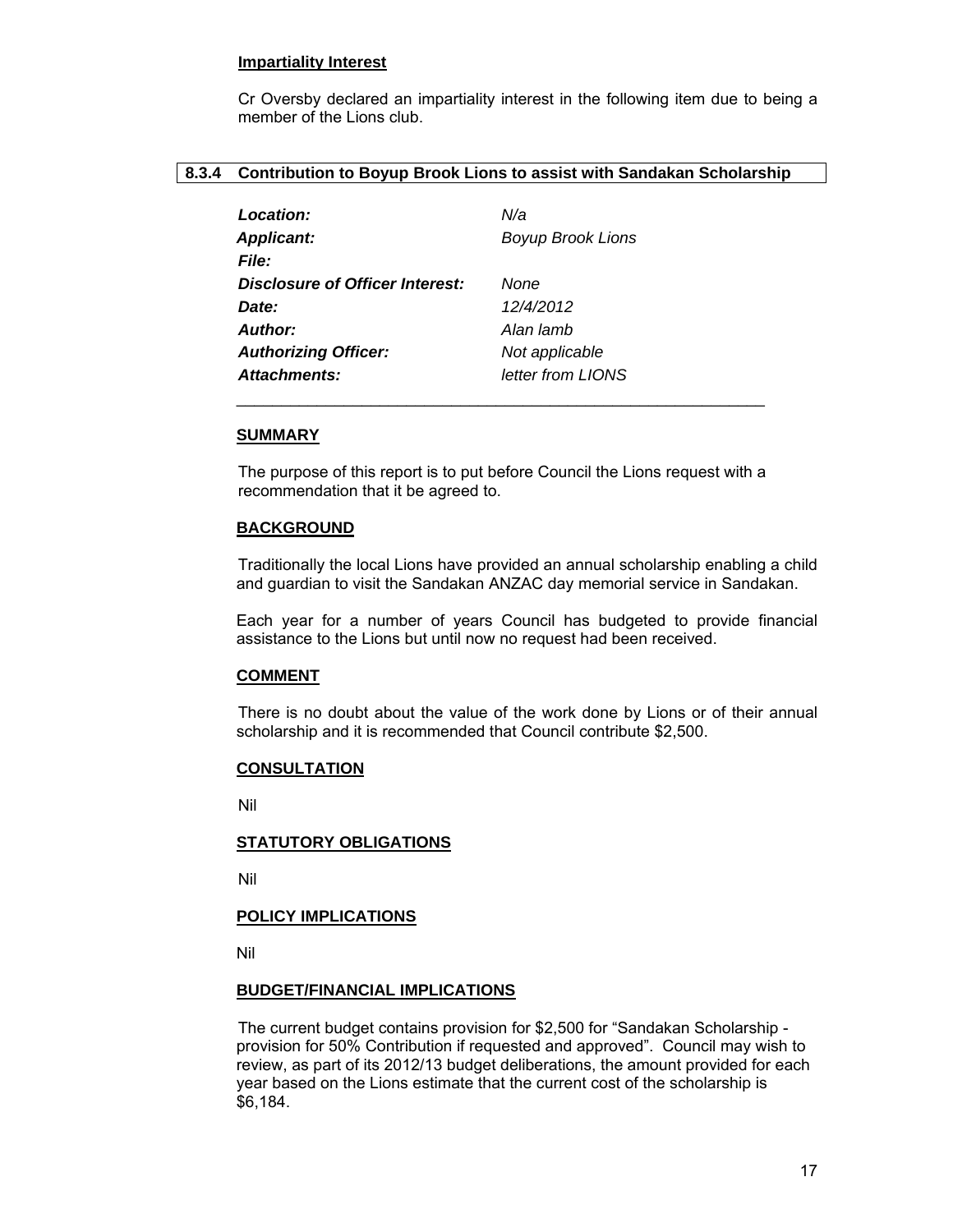#### **Impartiality Interest**

Cr Oversby declared an impartiality interest in the following item due to being a member of the Lions club.

### **8.3.4 Contribution to Boyup Brook Lions to assist with Sandakan Scholarship**

| Location:                       | N/a                      |
|---------------------------------|--------------------------|
| <b>Applicant:</b>               | <b>Boyup Brook Lions</b> |
| <b>File:</b>                    |                          |
| Disclosure of Officer Interest: | None                     |
| Date:                           | 12/4/2012                |
| Author:                         | Alan lamb                |
| <b>Authorizing Officer:</b>     | Not applicable           |
| <b>Attachments:</b>             | letter from LIONS        |

 $\frac{1}{2}$  ,  $\frac{1}{2}$  ,  $\frac{1}{2}$  ,  $\frac{1}{2}$  ,  $\frac{1}{2}$  ,  $\frac{1}{2}$  ,  $\frac{1}{2}$  ,  $\frac{1}{2}$  ,  $\frac{1}{2}$  ,  $\frac{1}{2}$  ,  $\frac{1}{2}$  ,  $\frac{1}{2}$  ,  $\frac{1}{2}$  ,  $\frac{1}{2}$  ,  $\frac{1}{2}$  ,  $\frac{1}{2}$  ,  $\frac{1}{2}$  ,  $\frac{1}{2}$  ,  $\frac{1$ 

### **SUMMARY**

The purpose of this report is to put before Council the Lions request with a recommendation that it be agreed to.

### **BACKGROUND**

 Traditionally the local Lions have provided an annual scholarship enabling a child and guardian to visit the Sandakan ANZAC day memorial service in Sandakan.

Each year for a number of years Council has budgeted to provide financial assistance to the Lions but until now no request had been received.

# **COMMENT**

 There is no doubt about the value of the work done by Lions or of their annual scholarship and it is recommended that Council contribute \$2,500.

#### **CONSULTATION**

Nil

#### **STATUTORY OBLIGATIONS**

Nil

# **POLICY IMPLICATIONS**

Nil

#### **BUDGET/FINANCIAL IMPLICATIONS**

The current budget contains provision for \$2,500 for "Sandakan Scholarship provision for 50% Contribution if requested and approved". Council may wish to review, as part of its 2012/13 budget deliberations, the amount provided for each year based on the Lions estimate that the current cost of the scholarship is \$6,184.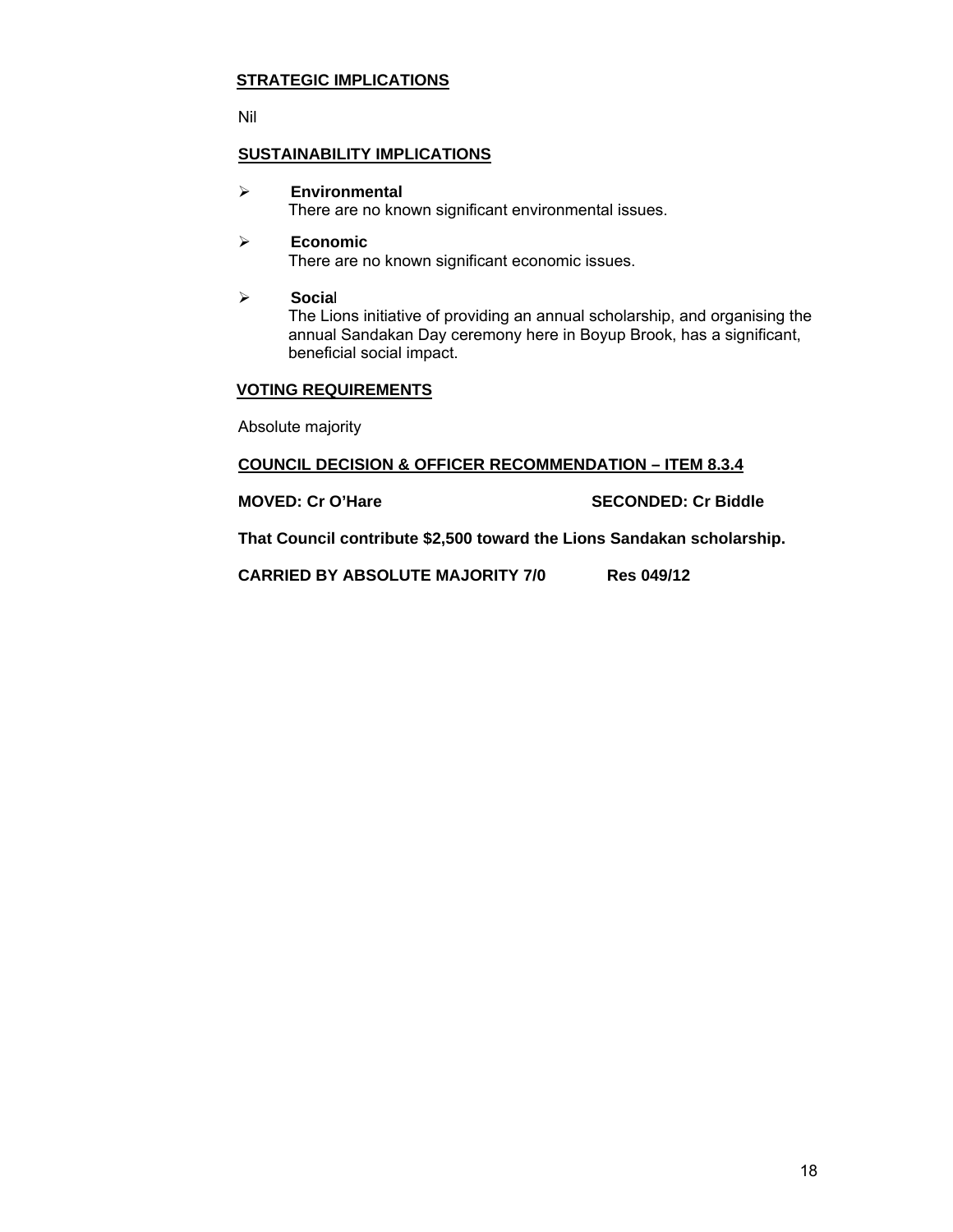# **STRATEGIC IMPLICATIONS**

Nil

# **SUSTAINABILITY IMPLICATIONS**

### ¾ **Environmental**

There are no known significant environmental issues.

# ¾ **Economic**  There are no known significant economic issues.

¾ **Socia**l

The Lions initiative of providing an annual scholarship, and organising the annual Sandakan Day ceremony here in Boyup Brook, has a significant, beneficial social impact.

# **VOTING REQUIREMENTS**

Absolute majority

### **COUNCIL DECISION & OFFICER RECOMMENDATION – ITEM 8.3.4**

**MOVED: Cr O'Hare Cancel Contract Cr Biddle SECONDED: Cr Biddle** 

**That Council contribute \$2,500 toward the Lions Sandakan scholarship.** 

**CARRIED BY ABSOLUTE MAJORITY 7/0 Res 049/12**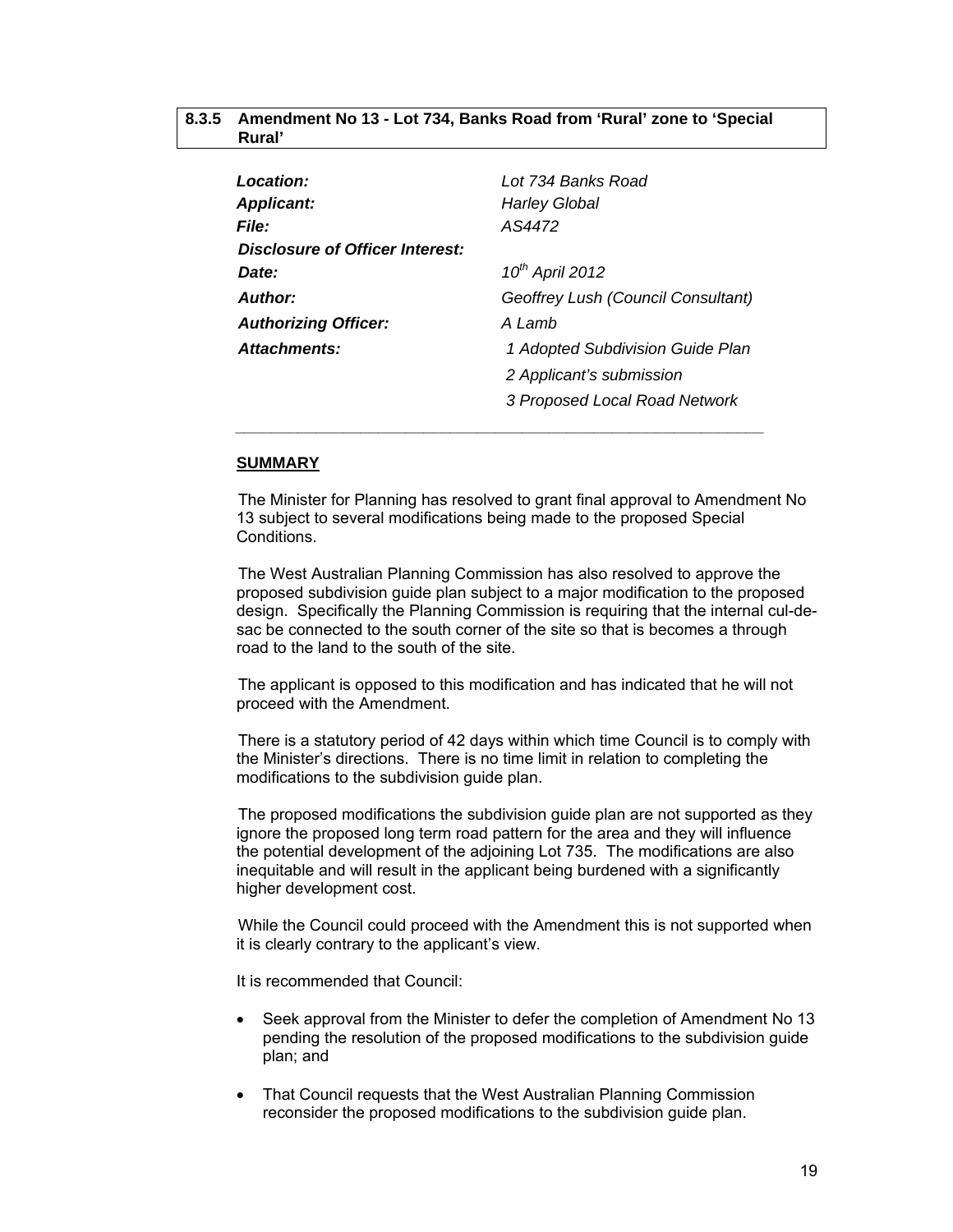#### **8.3.5 Amendment No 13 - Lot 734, Banks Road from 'Rural' zone to 'Special Rural'**

| Location:                       | Lot 734 Banks Road                 |
|---------------------------------|------------------------------------|
| <b>Applicant:</b>               | <b>Harley Global</b>               |
| <b>File:</b>                    | AS4472                             |
| Disclosure of Officer Interest: |                                    |
| Date:                           | $10^{th}$ April 2012               |
| Author:                         | Geoffrey Lush (Council Consultant) |
| <b>Authorizing Officer:</b>     | A Lamb                             |
| Attachments:                    | 1 Adopted Subdivision Guide Plan   |
|                                 | 2 Applicant's submission           |
|                                 | 3 Proposed Local Road Network      |

 *\_\_\_\_\_\_\_\_\_\_\_\_\_\_\_\_\_\_\_\_\_\_\_\_\_\_\_\_\_\_\_\_\_\_\_\_\_\_\_\_\_\_\_\_\_\_\_\_\_\_\_\_\_\_\_\_\_\_\_* 

### **SUMMARY**

The Minister for Planning has resolved to grant final approval to Amendment No 13 subject to several modifications being made to the proposed Special Conditions.

The West Australian Planning Commission has also resolved to approve the proposed subdivision guide plan subject to a major modification to the proposed design. Specifically the Planning Commission is requiring that the internal cul-desac be connected to the south corner of the site so that is becomes a through road to the land to the south of the site.

The applicant is opposed to this modification and has indicated that he will not proceed with the Amendment.

There is a statutory period of 42 days within which time Council is to comply with the Minister's directions. There is no time limit in relation to completing the modifications to the subdivision guide plan.

The proposed modifications the subdivision guide plan are not supported as they ignore the proposed long term road pattern for the area and they will influence the potential development of the adjoining Lot 735. The modifications are also inequitable and will result in the applicant being burdened with a significantly higher development cost.

While the Council could proceed with the Amendment this is not supported when it is clearly contrary to the applicant's view.

It is recommended that Council:

- Seek approval from the Minister to defer the completion of Amendment No 13 pending the resolution of the proposed modifications to the subdivision guide plan; and
- That Council requests that the West Australian Planning Commission reconsider the proposed modifications to the subdivision guide plan.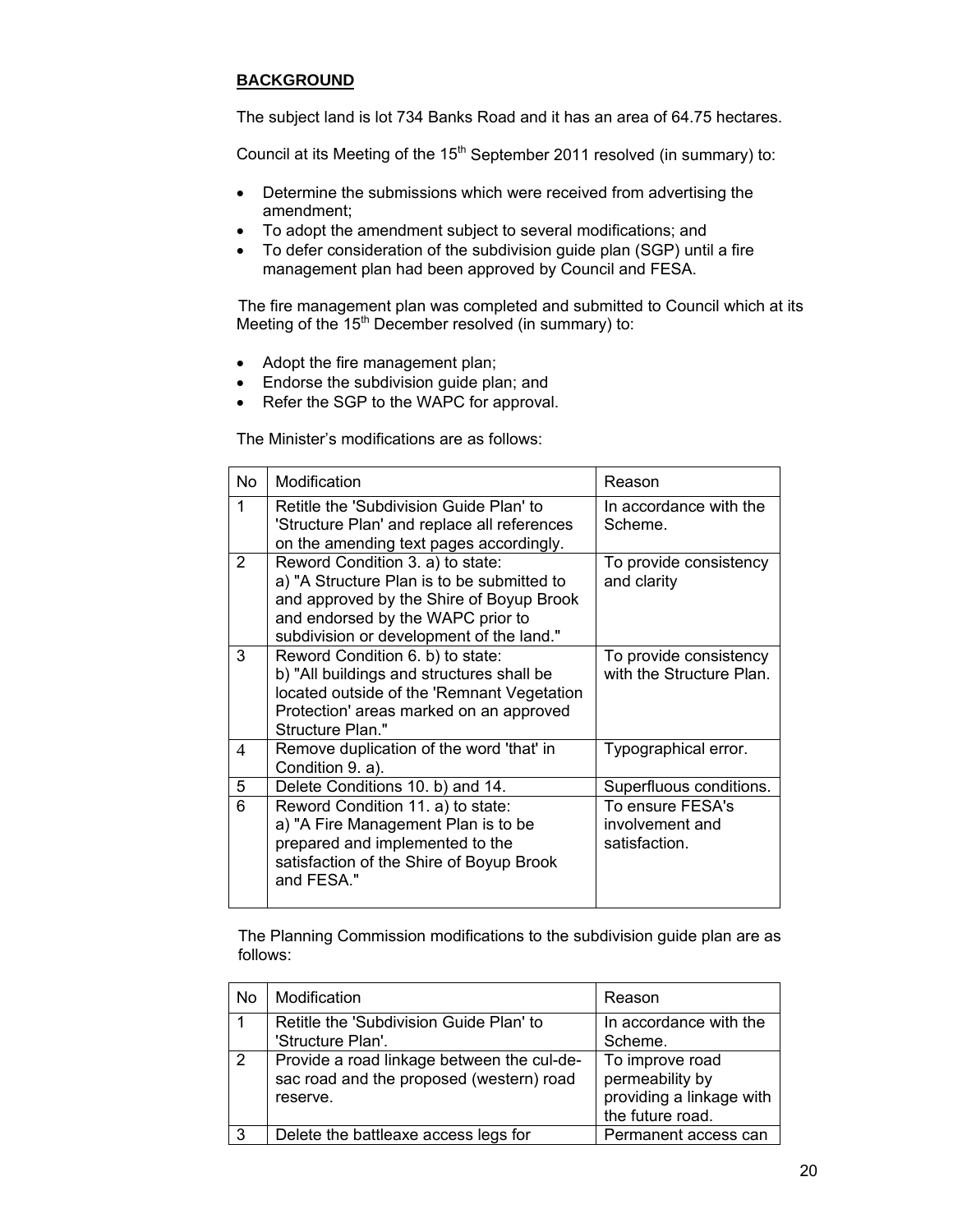# **BACKGROUND**

The subject land is lot 734 Banks Road and it has an area of 64.75 hectares.

Council at its Meeting of the 15<sup>th</sup> September 2011 resolved (in summary) to:

- Determine the submissions which were received from advertising the amendment;
- To adopt the amendment subject to several modifications; and
- To defer consideration of the subdivision guide plan (SGP) until a fire management plan had been approved by Council and FESA.

The fire management plan was completed and submitted to Council which at its Meeting of the  $15<sup>th</sup>$  December resolved (in summary) to:

- Adopt the fire management plan;
- Endorse the subdivision guide plan; and
- Refer the SGP to the WAPC for approval.

The Minister's modifications are as follows:

| No. | Modification                                                                                                                                                                                                | Reason                                               |  |
|-----|-------------------------------------------------------------------------------------------------------------------------------------------------------------------------------------------------------------|------------------------------------------------------|--|
| 1   | Retitle the 'Subdivision Guide Plan' to<br>'Structure Plan' and replace all references<br>on the amending text pages accordingly.                                                                           | In accordance with the<br>Scheme.                    |  |
| 2   | Reword Condition 3. a) to state:<br>a) "A Structure Plan is to be submitted to<br>and approved by the Shire of Boyup Brook<br>and endorsed by the WAPC prior to<br>subdivision or development of the land." | To provide consistency<br>and clarity                |  |
| 3   | Reword Condition 6. b) to state:<br>b) "All buildings and structures shall be<br>located outside of the 'Remnant Vegetation<br>Protection' areas marked on an approved<br>Structure Plan."                  | To provide consistency<br>with the Structure Plan.   |  |
| 4   | Remove duplication of the word 'that' in<br>Condition 9. a).                                                                                                                                                | Typographical error.                                 |  |
| 5   | Delete Conditions 10. b) and 14.                                                                                                                                                                            | Superfluous conditions.                              |  |
| 6   | Reword Condition 11. a) to state:<br>a) "A Fire Management Plan is to be<br>prepared and implemented to the<br>satisfaction of the Shire of Boyup Brook<br>and FESA."                                       | To ensure FESA's<br>involvement and<br>satisfaction. |  |

The Planning Commission modifications to the subdivision guide plan are as follows:

| No | Modification                                                                                       | Reason                                                                             |
|----|----------------------------------------------------------------------------------------------------|------------------------------------------------------------------------------------|
|    | Retitle the 'Subdivision Guide Plan' to<br>'Structure Plan'.                                       | In accordance with the<br>Scheme.                                                  |
| -2 | Provide a road linkage between the cul-de-<br>sac road and the proposed (western) road<br>reserve. | To improve road<br>permeability by<br>providing a linkage with<br>the future road. |
| 3  | Delete the battleaxe access legs for                                                               | Permanent access can                                                               |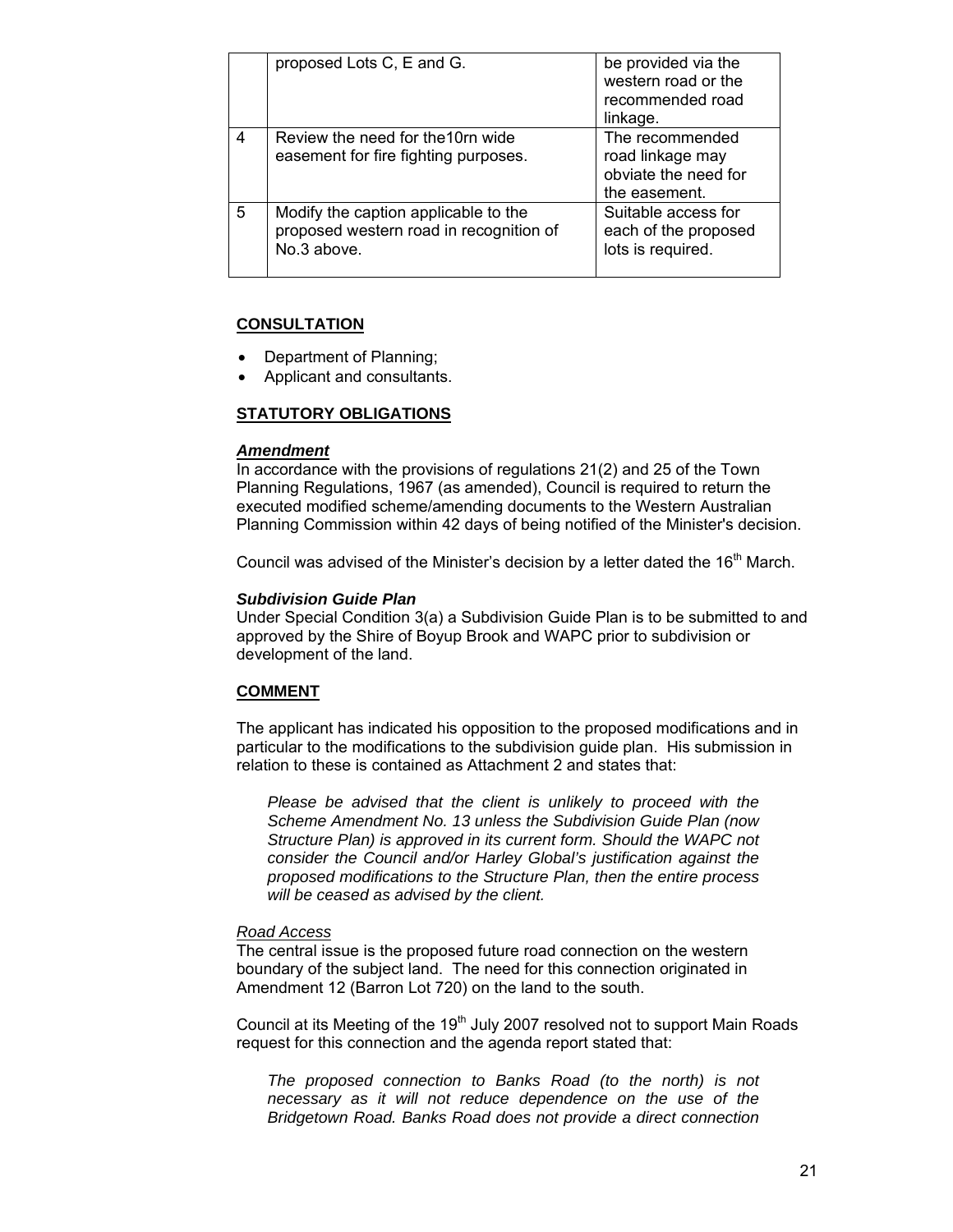|   | proposed Lots C, E and G.                                                                      | be provided via the<br>western road or the<br>recommended road<br>linkage.   |
|---|------------------------------------------------------------------------------------------------|------------------------------------------------------------------------------|
| 4 | Review the need for the 10rn wide<br>easement for fire fighting purposes.                      | The recommended<br>road linkage may<br>obviate the need for<br>the easement. |
| 5 | Modify the caption applicable to the<br>proposed western road in recognition of<br>No.3 above. | Suitable access for<br>each of the proposed<br>lots is required.             |

### **CONSULTATION**

- Department of Planning;
- Applicant and consultants.

### **STATUTORY OBLIGATIONS**

#### *Amendment*

In accordance with the provisions of regulations 21(2) and 25 of the Town Planning Regulations, 1967 (as amended), Council is required to return the executed modified scheme/amending documents to the Western Australian Planning Commission within 42 days of being notified of the Minister's decision.

Council was advised of the Minister's decision by a letter dated the  $16<sup>th</sup>$  March.

#### *Subdivision Guide Plan*

Under Special Condition 3(a) a Subdivision Guide Plan is to be submitted to and approved by the Shire of Boyup Brook and WAPC prior to subdivision or development of the land.

#### **COMMENT**

The applicant has indicated his opposition to the proposed modifications and in particular to the modifications to the subdivision guide plan. His submission in relation to these is contained as Attachment 2 and states that:

*Please be advised that the client is unlikely to proceed with the Scheme Amendment No. 13 unless the Subdivision Guide Plan (now Structure Plan) is approved in its current form. Should the WAPC not consider the Council and/or Harley Global's justification against the proposed modifications to the Structure Plan, then the entire process will be ceased as advised by the client.* 

#### *Road Access*

The central issue is the proposed future road connection on the western boundary of the subject land. The need for this connection originated in Amendment 12 (Barron Lot 720) on the land to the south.

Council at its Meeting of the  $19<sup>th</sup>$  July 2007 resolved not to support Main Roads request for this connection and the agenda report stated that:

*The proposed connection to Banks Road (to the north) is not necessary as it will not reduce dependence on the use of the Bridgetown Road. Banks Road does not provide a direct connection*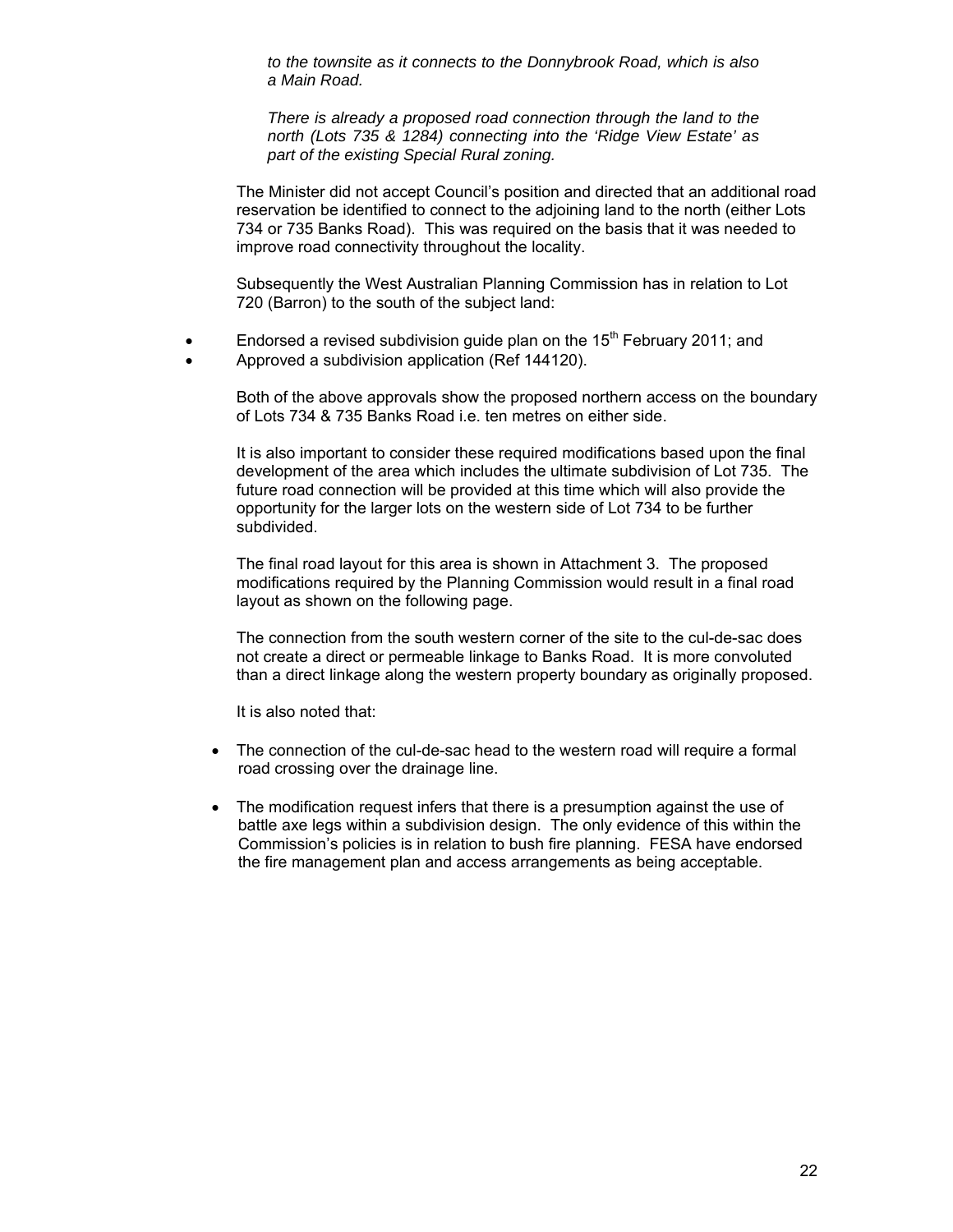*to the townsite as it connects to the Donnybrook Road, which is also a Main Road.* 

*There is already a proposed road connection through the land to the north (Lots 735 & 1284) connecting into the 'Ridge View Estate' as part of the existing Special Rural zoning.* 

The Minister did not accept Council's position and directed that an additional road reservation be identified to connect to the adjoining land to the north (either Lots 734 or 735 Banks Road). This was required on the basis that it was needed to improve road connectivity throughout the locality.

Subsequently the West Australian Planning Commission has in relation to Lot 720 (Barron) to the south of the subject land:

- Endorsed a revised subdivision guide plan on the  $15<sup>th</sup>$  February 2011; and
- Approved a subdivision application (Ref 144120).

Both of the above approvals show the proposed northern access on the boundary of Lots 734 & 735 Banks Road i.e. ten metres on either side.

It is also important to consider these required modifications based upon the final development of the area which includes the ultimate subdivision of Lot 735. The future road connection will be provided at this time which will also provide the opportunity for the larger lots on the western side of Lot 734 to be further subdivided.

The final road layout for this area is shown in Attachment 3. The proposed modifications required by the Planning Commission would result in a final road layout as shown on the following page.

The connection from the south western corner of the site to the cul-de-sac does not create a direct or permeable linkage to Banks Road. It is more convoluted than a direct linkage along the western property boundary as originally proposed.

It is also noted that:

- The connection of the cul-de-sac head to the western road will require a formal road crossing over the drainage line.
- The modification request infers that there is a presumption against the use of battle axe legs within a subdivision design. The only evidence of this within the Commission's policies is in relation to bush fire planning. FESA have endorsed the fire management plan and access arrangements as being acceptable.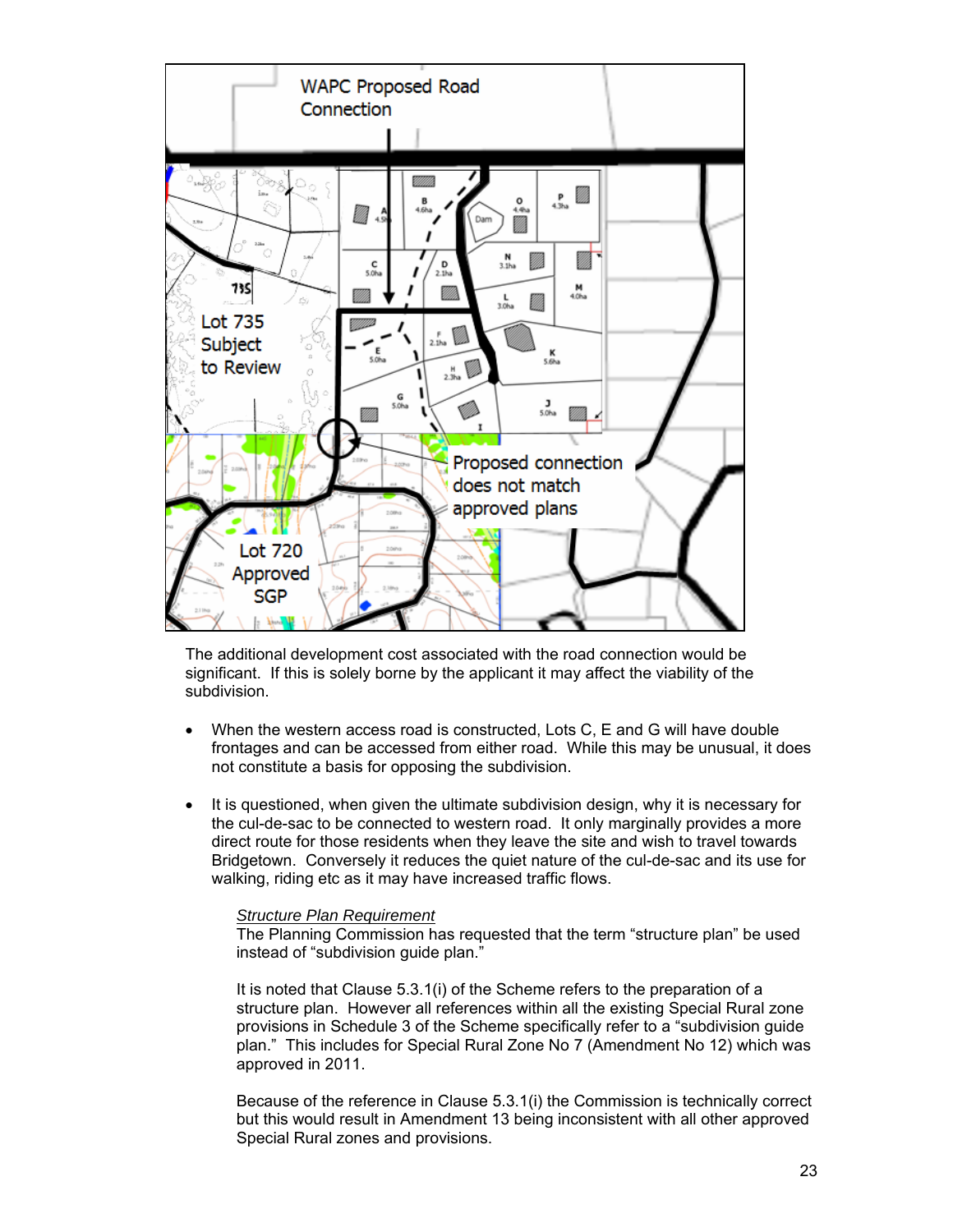

The additional development cost associated with the road connection would be significant. If this is solely borne by the applicant it may affect the viability of the subdivision.

- When the western access road is constructed, Lots C, E and G will have double frontages and can be accessed from either road. While this may be unusual, it does not constitute a basis for opposing the subdivision.
- It is questioned, when given the ultimate subdivision design, why it is necessary for the cul-de-sac to be connected to western road. It only marginally provides a more direct route for those residents when they leave the site and wish to travel towards Bridgetown. Conversely it reduces the quiet nature of the cul-de-sac and its use for walking, riding etc as it may have increased traffic flows.

# *Structure Plan Requirement*

The Planning Commission has requested that the term "structure plan" be used instead of "subdivision guide plan."

It is noted that Clause 5.3.1(i) of the Scheme refers to the preparation of a structure plan. However all references within all the existing Special Rural zone provisions in Schedule 3 of the Scheme specifically refer to a "subdivision guide plan." This includes for Special Rural Zone No 7 (Amendment No 12) which was approved in 2011.

Because of the reference in Clause 5.3.1(i) the Commission is technically correct but this would result in Amendment 13 being inconsistent with all other approved Special Rural zones and provisions.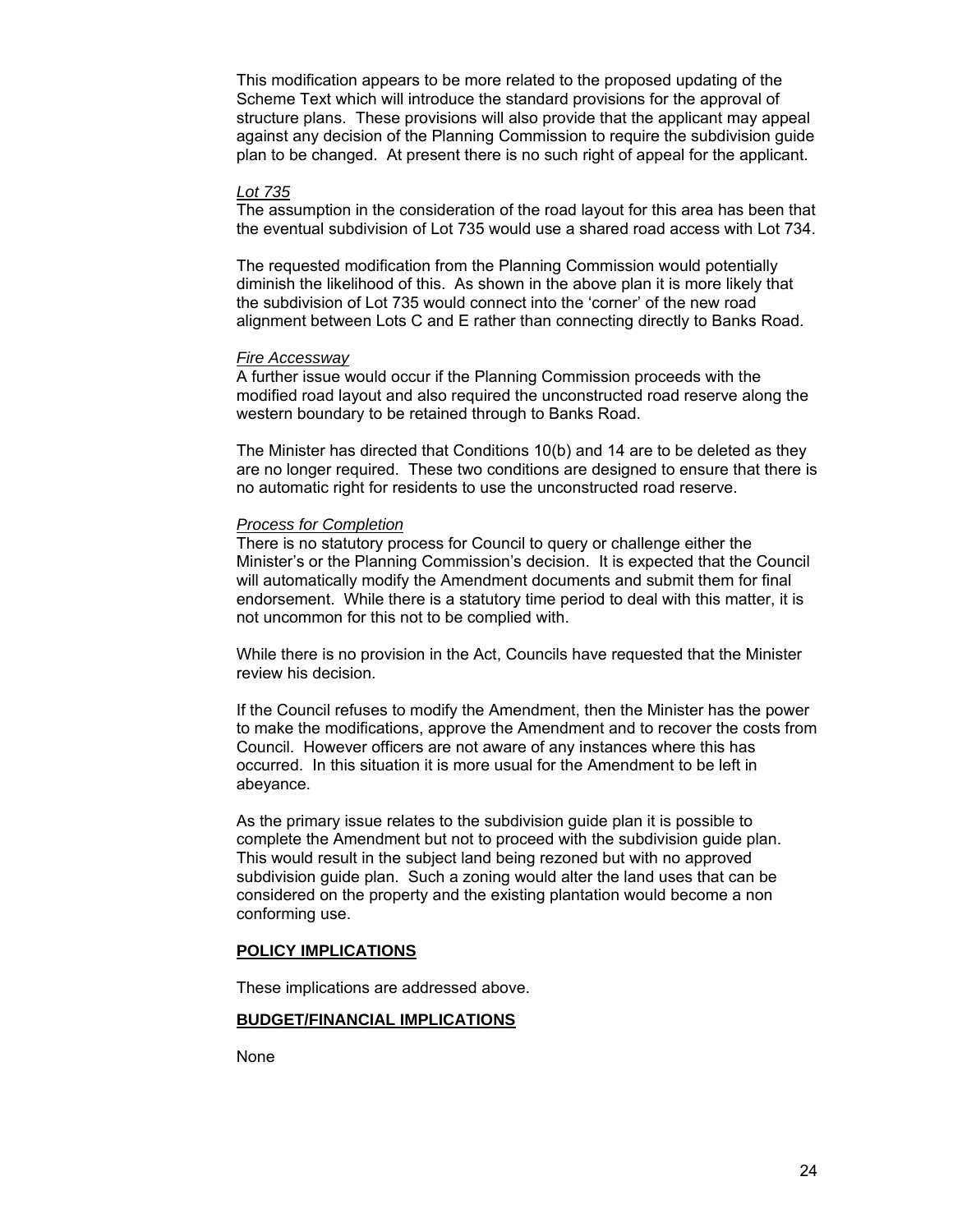This modification appears to be more related to the proposed updating of the Scheme Text which will introduce the standard provisions for the approval of structure plans. These provisions will also provide that the applicant may appeal against any decision of the Planning Commission to require the subdivision guide plan to be changed. At present there is no such right of appeal for the applicant.

#### *Lot 735*

The assumption in the consideration of the road layout for this area has been that the eventual subdivision of Lot 735 would use a shared road access with Lot 734.

The requested modification from the Planning Commission would potentially diminish the likelihood of this. As shown in the above plan it is more likely that the subdivision of Lot 735 would connect into the 'corner' of the new road alignment between Lots C and E rather than connecting directly to Banks Road.

#### *Fire Accessway*

A further issue would occur if the Planning Commission proceeds with the modified road layout and also required the unconstructed road reserve along the western boundary to be retained through to Banks Road.

The Minister has directed that Conditions 10(b) and 14 are to be deleted as they are no longer required. These two conditions are designed to ensure that there is no automatic right for residents to use the unconstructed road reserve.

#### *Process for Completion*

There is no statutory process for Council to query or challenge either the Minister's or the Planning Commission's decision. It is expected that the Council will automatically modify the Amendment documents and submit them for final endorsement. While there is a statutory time period to deal with this matter, it is not uncommon for this not to be complied with.

While there is no provision in the Act, Councils have requested that the Minister review his decision.

If the Council refuses to modify the Amendment, then the Minister has the power to make the modifications, approve the Amendment and to recover the costs from Council. However officers are not aware of any instances where this has occurred. In this situation it is more usual for the Amendment to be left in abeyance.

As the primary issue relates to the subdivision guide plan it is possible to complete the Amendment but not to proceed with the subdivision guide plan. This would result in the subject land being rezoned but with no approved subdivision guide plan. Such a zoning would alter the land uses that can be considered on the property and the existing plantation would become a non conforming use.

#### **POLICY IMPLICATIONS**

These implications are addressed above.

#### **BUDGET/FINANCIAL IMPLICATIONS**

None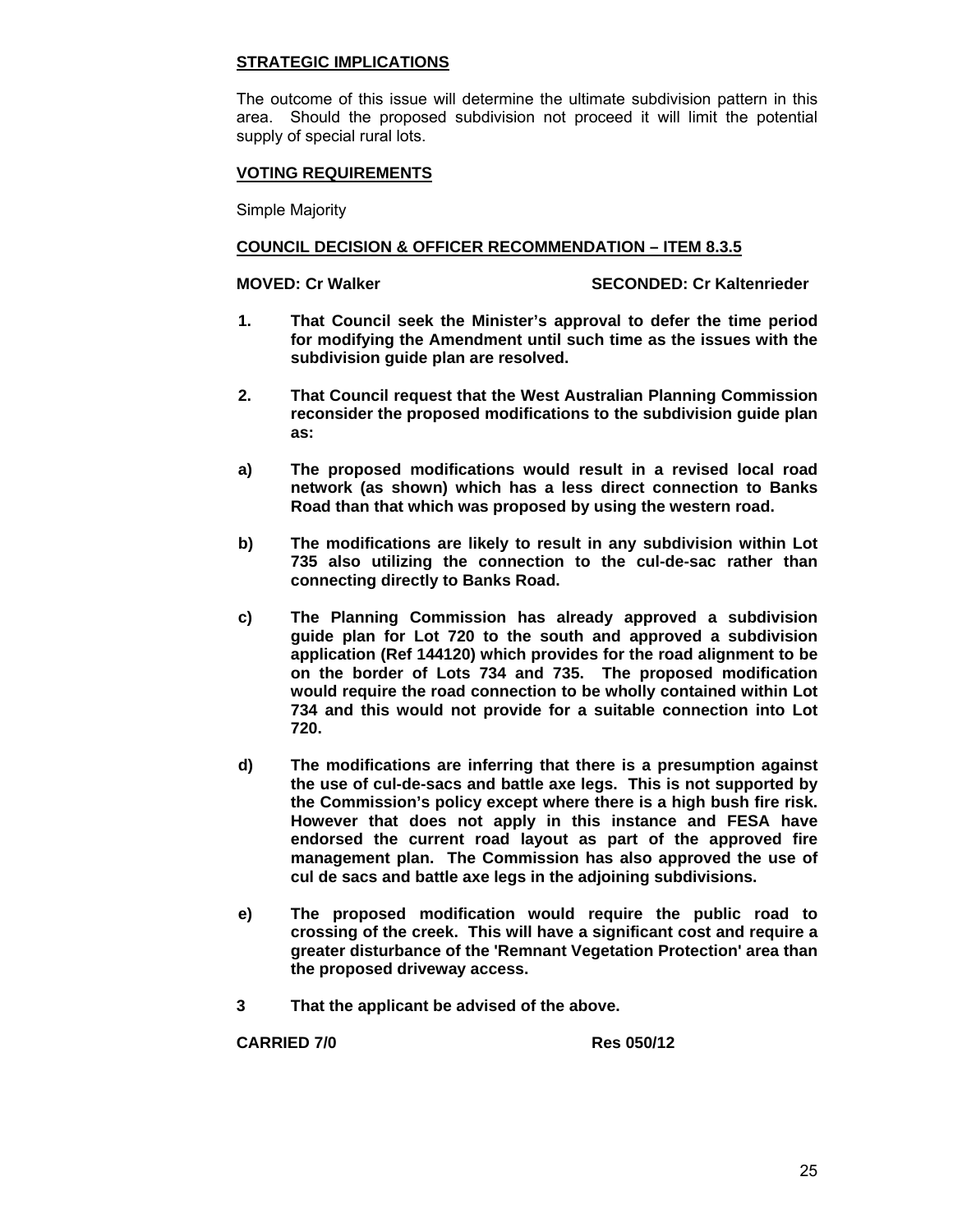### **STRATEGIC IMPLICATIONS**

The outcome of this issue will determine the ultimate subdivision pattern in this area. Should the proposed subdivision not proceed it will limit the potential supply of special rural lots.

# **VOTING REQUIREMENTS**

Simple Majority

## **COUNCIL DECISION & OFFICER RECOMMENDATION – ITEM 8.3.5**

**MOVED: Cr Walker SECONDED: Cr Kaltenrieder CONDED: Cr SECONDED: Cr Kaltenrieder** 

- **1. That Council seek the Minister's approval to defer the time period for modifying the Amendment until such time as the issues with the subdivision guide plan are resolved.**
- **2. That Council request that the West Australian Planning Commission reconsider the proposed modifications to the subdivision guide plan as:**
- **a) The proposed modifications would result in a revised local road network (as shown) which has a less direct connection to Banks Road than that which was proposed by using the western road.**
- **b) The modifications are likely to result in any subdivision within Lot 735 also utilizing the connection to the cul-de-sac rather than connecting directly to Banks Road.**
- **c) The Planning Commission has already approved a subdivision guide plan for Lot 720 to the south and approved a subdivision application (Ref 144120) which provides for the road alignment to be on the border of Lots 734 and 735. The proposed modification would require the road connection to be wholly contained within Lot 734 and this would not provide for a suitable connection into Lot 720.**
- **d) The modifications are inferring that there is a presumption against the use of cul-de-sacs and battle axe legs. This is not supported by the Commission's policy except where there is a high bush fire risk. However that does not apply in this instance and FESA have endorsed the current road layout as part of the approved fire management plan. The Commission has also approved the use of cul de sacs and battle axe legs in the adjoining subdivisions.**
- **e) The proposed modification would require the public road to crossing of the creek. This will have a significant cost and require a greater disturbance of the 'Remnant Vegetation Protection' area than the proposed driveway access.**
- **3 That the applicant be advised of the above.**

**CARRIED 7/0 Res 050/12**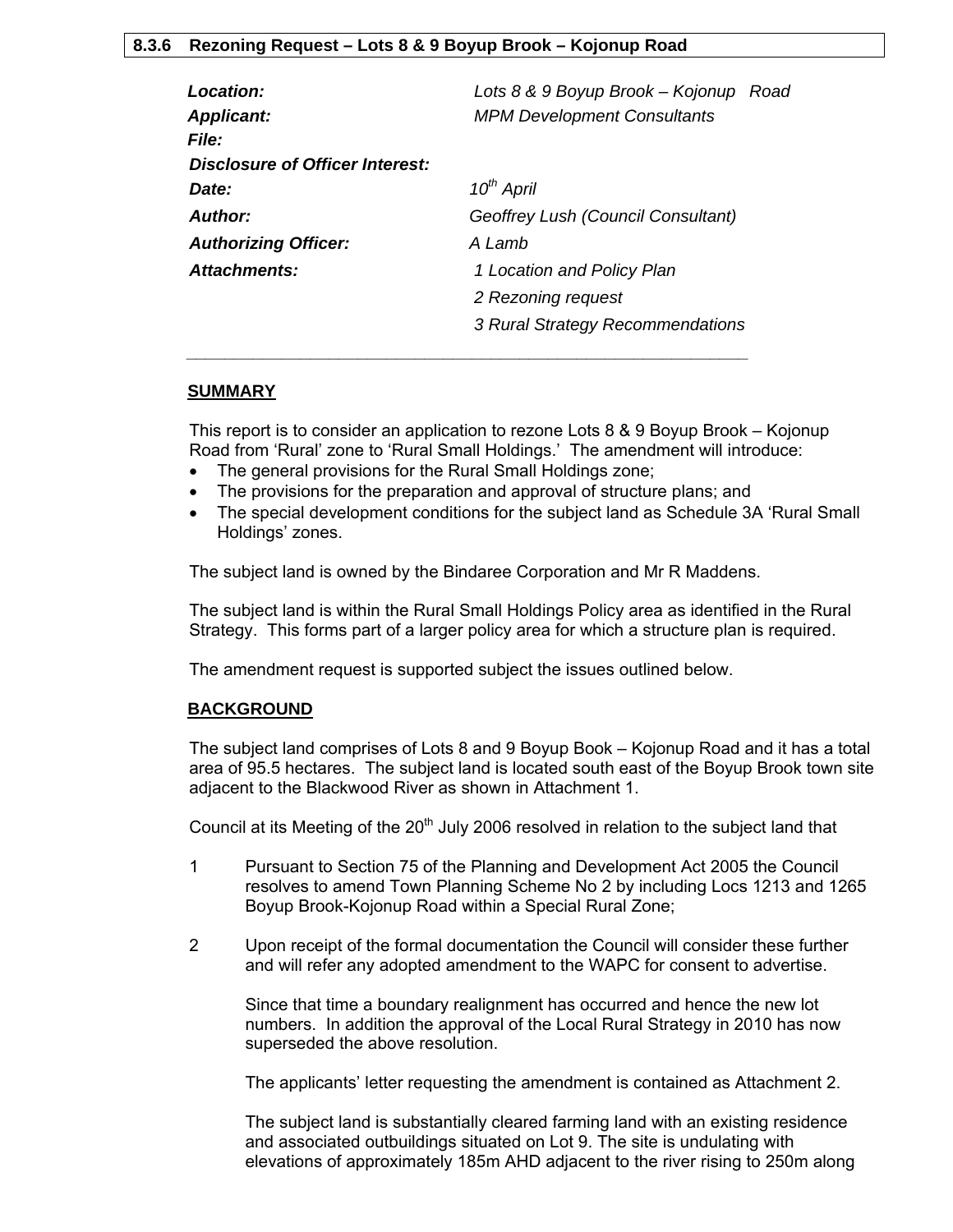# **8.3.6 Rezoning Request – Lots 8 & 9 Boyup Brook – Kojonup Road**

| Lots 8 & 9 Boyup Brook - Kojonup Road<br><b>MPM Development Consultants</b> |
|-----------------------------------------------------------------------------|
|                                                                             |
|                                                                             |
| $10^{th}$ April                                                             |
| Geoffrey Lush (Council Consultant)                                          |
| A Lamb                                                                      |
| 1 Location and Policy Plan                                                  |
| 2 Rezoning request                                                          |
| 3 Rural Strategy Recommendations                                            |
|                                                                             |

# **SUMMARY**

This report is to consider an application to rezone Lots 8 & 9 Boyup Brook – Kojonup Road from 'Rural' zone to 'Rural Small Holdings.' The amendment will introduce:

• The general provisions for the Rural Small Holdings zone;

 *\_\_\_\_\_\_\_\_\_\_\_\_\_\_\_\_\_\_\_\_\_\_\_\_\_\_\_\_\_\_\_\_\_\_\_\_\_\_\_\_\_\_\_\_\_\_\_\_\_\_\_\_\_\_\_\_\_\_\_* 

- The provisions for the preparation and approval of structure plans; and
- The special development conditions for the subject land as Schedule 3A 'Rural Small Holdings' zones.

The subject land is owned by the Bindaree Corporation and Mr R Maddens.

The subject land is within the Rural Small Holdings Policy area as identified in the Rural Strategy. This forms part of a larger policy area for which a structure plan is required.

The amendment request is supported subject the issues outlined below.

#### **BACKGROUND**

The subject land comprises of Lots 8 and 9 Boyup Book – Kojonup Road and it has a total area of 95.5 hectares. The subject land is located south east of the Boyup Brook town site adjacent to the Blackwood River as shown in Attachment 1.

Council at its Meeting of the  $20<sup>th</sup>$  July 2006 resolved in relation to the subject land that

- 1 Pursuant to Section 75 of the Planning and Development Act 2005 the Council resolves to amend Town Planning Scheme No 2 by including Locs 1213 and 1265 Boyup Brook-Kojonup Road within a Special Rural Zone;
- 2 Upon receipt of the formal documentation the Council will consider these further and will refer any adopted amendment to the WAPC for consent to advertise.

Since that time a boundary realignment has occurred and hence the new lot numbers. In addition the approval of the Local Rural Strategy in 2010 has now superseded the above resolution.

The applicants' letter requesting the amendment is contained as Attachment 2.

The subject land is substantially cleared farming land with an existing residence and associated outbuildings situated on Lot 9. The site is undulating with elevations of approximately 185m AHD adjacent to the river rising to 250m along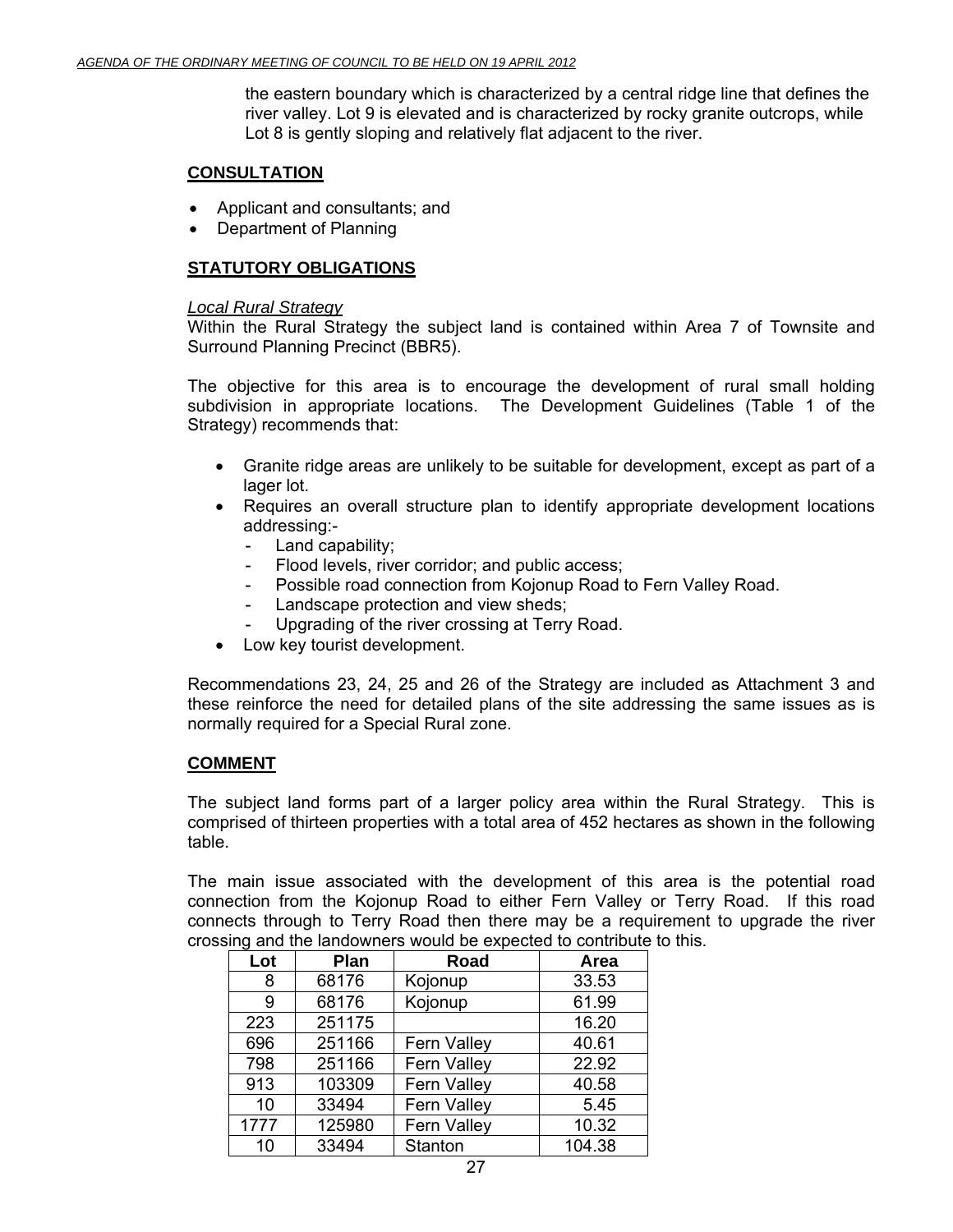the eastern boundary which is characterized by a central ridge line that defines the river valley. Lot 9 is elevated and is characterized by rocky granite outcrops, while Lot 8 is gently sloping and relatively flat adjacent to the river.

# **CONSULTATION**

- Applicant and consultants; and
- Department of Planning

# **STATUTORY OBLIGATIONS**

# *Local Rural Strategy*

Within the Rural Strategy the subject land is contained within Area 7 of Townsite and Surround Planning Precinct (BBR5).

The objective for this area is to encourage the development of rural small holding subdivision in appropriate locations. The Development Guidelines (Table 1 of the Strategy) recommends that:

- Granite ridge areas are unlikely to be suitable for development, except as part of a lager lot.
- Requires an overall structure plan to identify appropriate development locations addressing:-
	- Land capability;
	- Flood levels, river corridor; and public access;
	- Possible road connection from Kojonup Road to Fern Valley Road.
	- Landscape protection and view sheds;
	- Upgrading of the river crossing at Terry Road.
- Low key tourist development.

Recommendations 23, 24, 25 and 26 of the Strategy are included as Attachment 3 and these reinforce the need for detailed plans of the site addressing the same issues as is normally required for a Special Rural zone.

# **COMMENT**

The subject land forms part of a larger policy area within the Rural Strategy. This is comprised of thirteen properties with a total area of 452 hectares as shown in the following table.

The main issue associated with the development of this area is the potential road connection from the Kojonup Road to either Fern Valley or Terry Road. If this road connects through to Terry Road then there may be a requirement to upgrade the river crossing and the landowners would be expected to contribute to this.

| Lot  | Plan   | <b>Road</b>        | Area   |
|------|--------|--------------------|--------|
| 8    | 68176  | Kojonup            | 33.53  |
| 9    | 68176  | Kojonup            | 61.99  |
| 223  | 251175 |                    | 16.20  |
| 696  | 251166 | Fern Valley        | 40.61  |
| 798  | 251166 | Fern Valley        | 22.92  |
| 913  | 103309 | <b>Fern Valley</b> | 40.58  |
| 10   | 33494  | <b>Fern Valley</b> | 5.45   |
| 1777 | 125980 | <b>Fern Valley</b> | 10.32  |
| 10   | 33494  | Stanton            | 104.38 |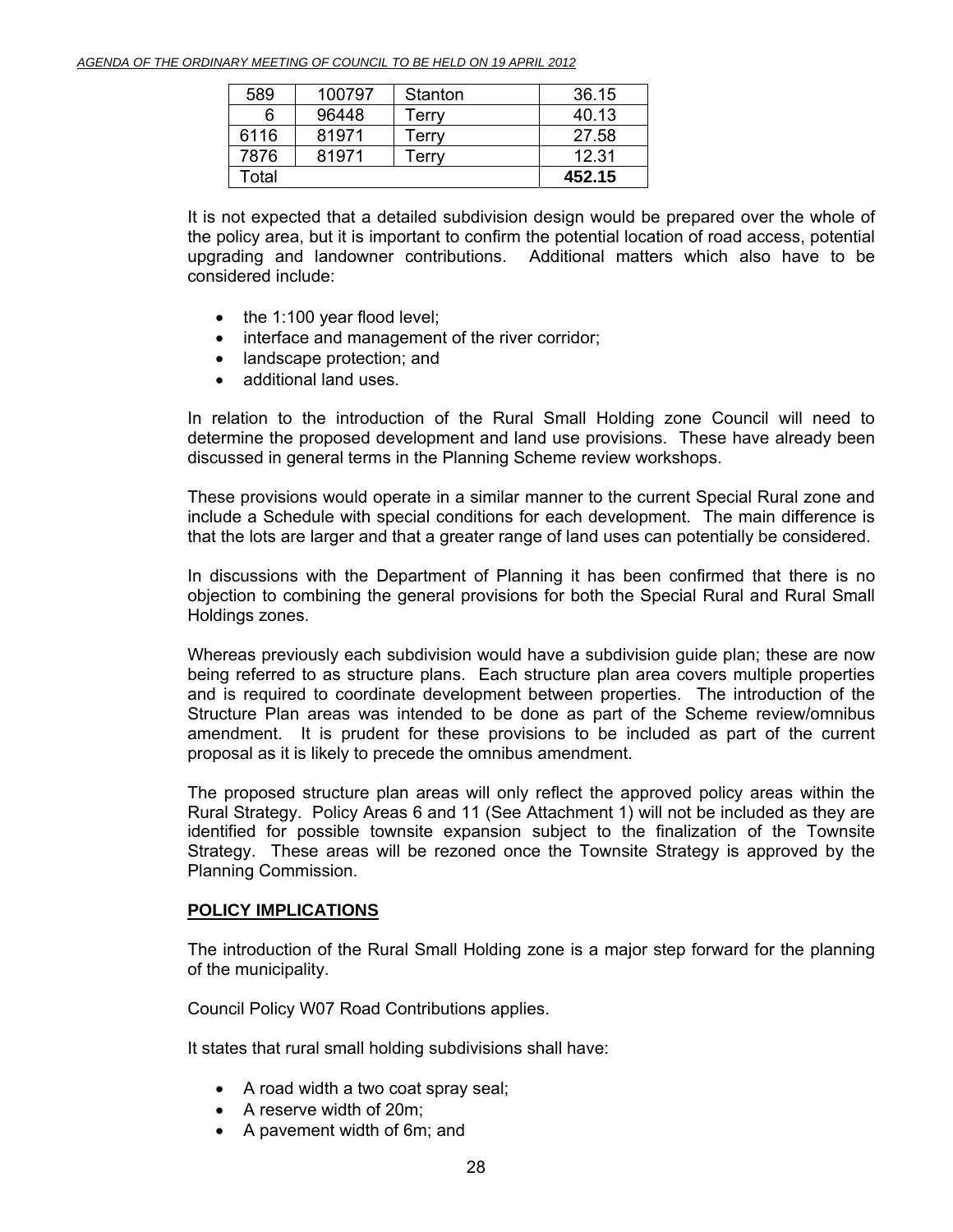| 589   | 100797 | Stanton | 36.15  |
|-------|--------|---------|--------|
| 6     | 96448  | Terrv   | 40.13  |
| 6116  | 81971  | Terry   | 27.58  |
| 7876  | 81971  | Terrv   | 12.31  |
| Total |        |         | 452.15 |

It is not expected that a detailed subdivision design would be prepared over the whole of the policy area, but it is important to confirm the potential location of road access, potential upgrading and landowner contributions. Additional matters which also have to be considered include:

- the 1:100 year flood level;
- interface and management of the river corridor;
- landscape protection; and
- additional land uses.

In relation to the introduction of the Rural Small Holding zone Council will need to determine the proposed development and land use provisions. These have already been discussed in general terms in the Planning Scheme review workshops.

These provisions would operate in a similar manner to the current Special Rural zone and include a Schedule with special conditions for each development. The main difference is that the lots are larger and that a greater range of land uses can potentially be considered.

In discussions with the Department of Planning it has been confirmed that there is no objection to combining the general provisions for both the Special Rural and Rural Small Holdings zones.

Whereas previously each subdivision would have a subdivision guide plan; these are now being referred to as structure plans. Each structure plan area covers multiple properties and is required to coordinate development between properties. The introduction of the Structure Plan areas was intended to be done as part of the Scheme review/omnibus amendment. It is prudent for these provisions to be included as part of the current proposal as it is likely to precede the omnibus amendment.

The proposed structure plan areas will only reflect the approved policy areas within the Rural Strategy. Policy Areas 6 and 11 (See Attachment 1) will not be included as they are identified for possible townsite expansion subject to the finalization of the Townsite Strategy. These areas will be rezoned once the Townsite Strategy is approved by the Planning Commission.

# **POLICY IMPLICATIONS**

The introduction of the Rural Small Holding zone is a major step forward for the planning of the municipality.

Council Policy W07 Road Contributions applies.

It states that rural small holding subdivisions shall have:

- A road width a two coat spray seal;
- A reserve width of 20m;
- A pavement width of 6m; and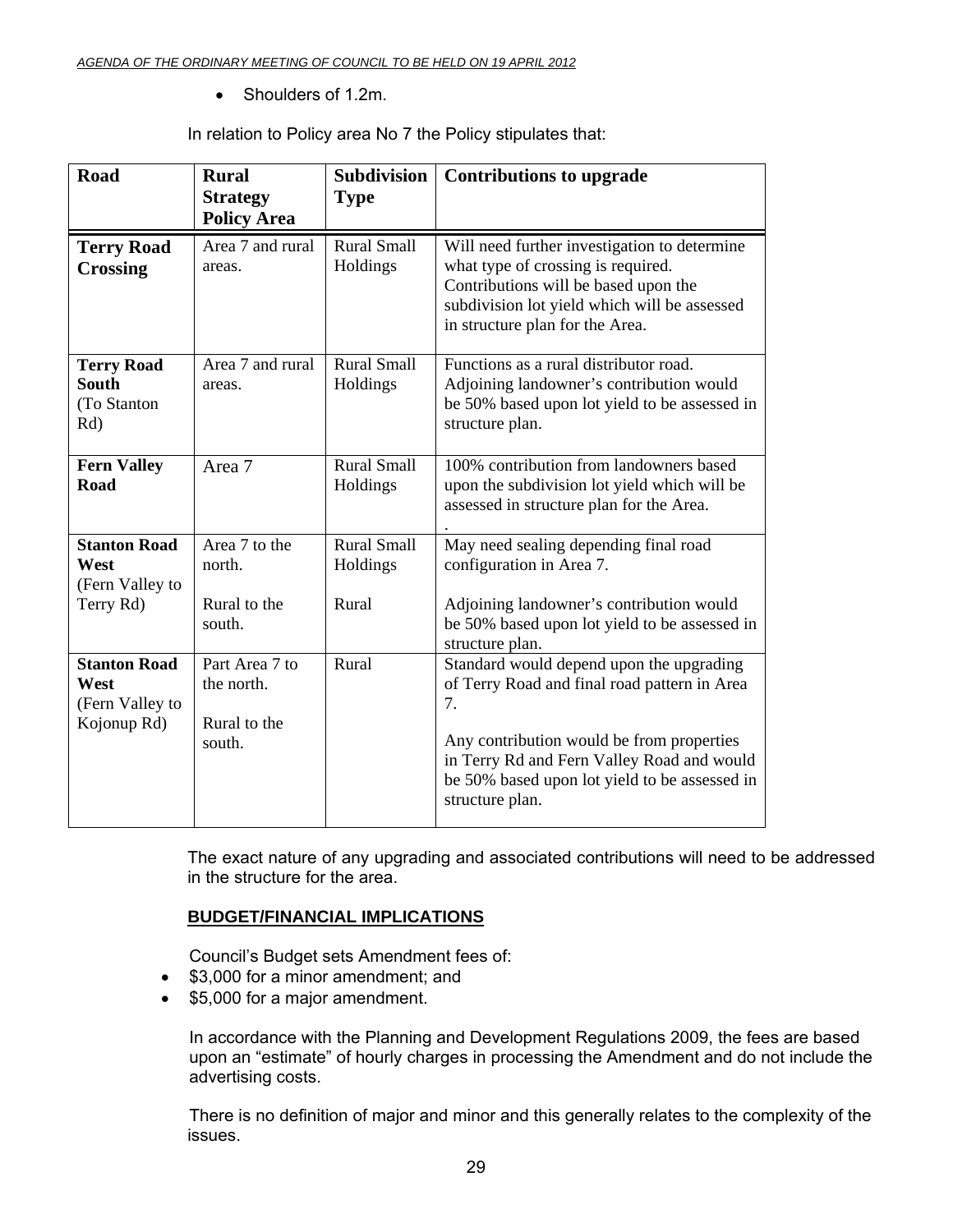• Shoulders of 1.2m.

In relation to Policy area No 7 the Policy stipulates that:

| <b>Road</b>                                                   | <b>Rural</b><br><b>Strategy</b><br><b>Policy Area</b>  | <b>Subdivision</b><br><b>Type</b>       | <b>Contributions to upgrade</b>                                                                                                                                                                                                                               |
|---------------------------------------------------------------|--------------------------------------------------------|-----------------------------------------|---------------------------------------------------------------------------------------------------------------------------------------------------------------------------------------------------------------------------------------------------------------|
| <b>Terry Road</b><br><b>Crossing</b>                          | Area 7 and rural<br>areas.                             | <b>Rural Small</b><br>Holdings          | Will need further investigation to determine<br>what type of crossing is required.<br>Contributions will be based upon the<br>subdivision lot yield which will be assessed<br>in structure plan for the Area.                                                 |
| <b>Terry Road</b><br><b>South</b><br>(To Stanton<br>Rd)       | Area 7 and rural<br>areas.                             | <b>Rural Small</b><br>Holdings          | Functions as a rural distributor road.<br>Adjoining landowner's contribution would<br>be 50% based upon lot yield to be assessed in<br>structure plan.                                                                                                        |
| <b>Fern Valley</b><br>Road                                    | Area 7                                                 | <b>Rural Small</b><br>Holdings          | 100% contribution from landowners based<br>upon the subdivision lot yield which will be<br>assessed in structure plan for the Area.                                                                                                                           |
| <b>Stanton Road</b><br>West<br>(Fern Valley to<br>Terry Rd)   | Area 7 to the<br>north.<br>Rural to the<br>south.      | <b>Rural Small</b><br>Holdings<br>Rural | May need sealing depending final road<br>configuration in Area 7.<br>Adjoining landowner's contribution would<br>be 50% based upon lot yield to be assessed in<br>structure plan.                                                                             |
| <b>Stanton Road</b><br>West<br>(Fern Valley to<br>Kojonup Rd) | Part Area 7 to<br>the north.<br>Rural to the<br>south. | Rural                                   | Standard would depend upon the upgrading<br>of Terry Road and final road pattern in Area<br>7.<br>Any contribution would be from properties<br>in Terry Rd and Fern Valley Road and would<br>be 50% based upon lot yield to be assessed in<br>structure plan. |

The exact nature of any upgrading and associated contributions will need to be addressed in the structure for the area.

# **BUDGET/FINANCIAL IMPLICATIONS**

Council's Budget sets Amendment fees of:

- \$3,000 for a minor amendment; and
- \$5,000 for a major amendment.

In accordance with the Planning and Development Regulations 2009, the fees are based upon an "estimate" of hourly charges in processing the Amendment and do not include the advertising costs.

There is no definition of major and minor and this generally relates to the complexity of the issues.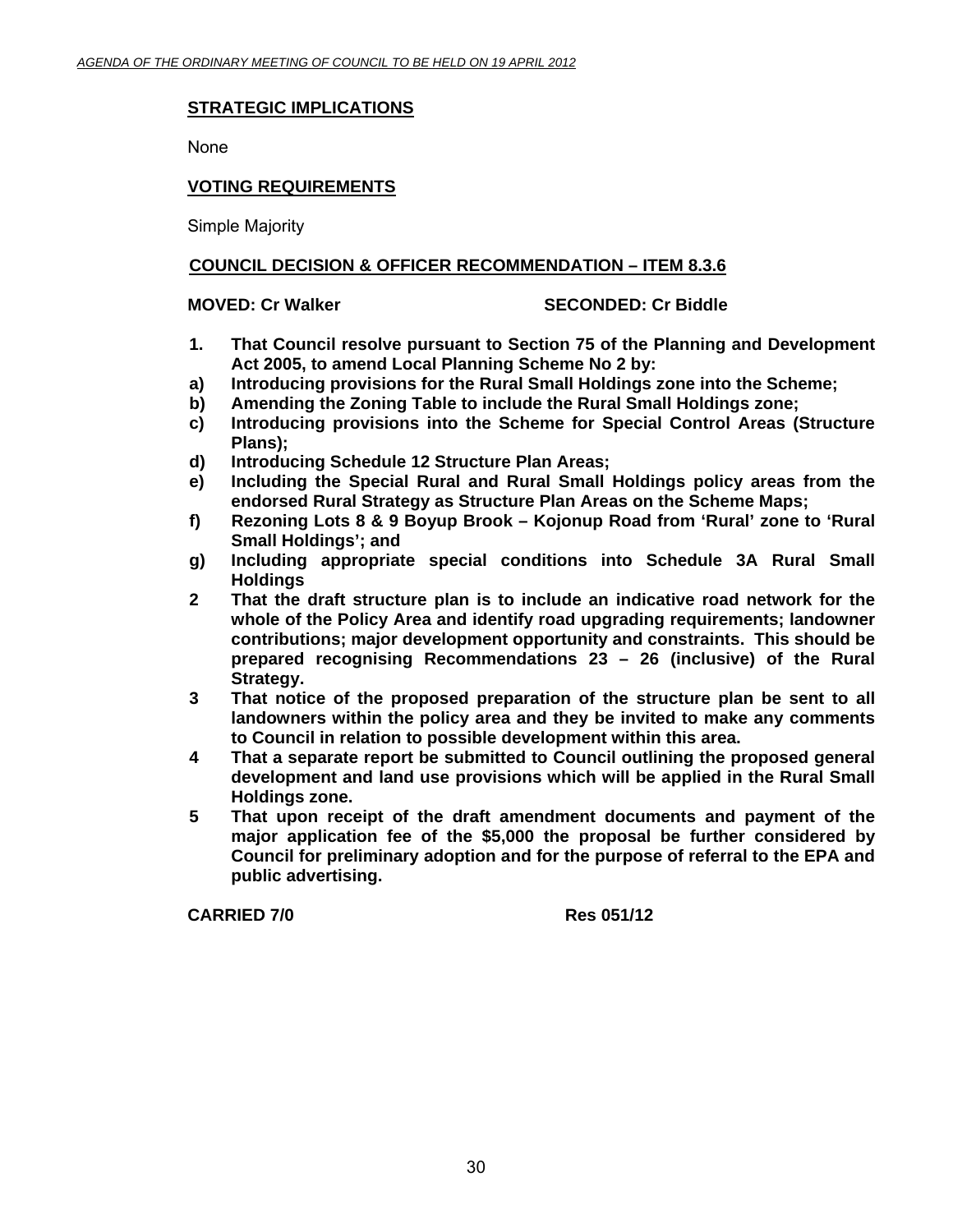# **STRATEGIC IMPLICATIONS**

None

# **VOTING REQUIREMENTS**

Simple Majority

# **COUNCIL DECISION & OFFICER RECOMMENDATION – ITEM 8.3.6**

# **MOVED: Cr Walker SECONDED: Cr Biddle**

- **1. That Council resolve pursuant to Section 75 of the Planning and Development Act 2005, to amend Local Planning Scheme No 2 by:**
- **a) Introducing provisions for the Rural Small Holdings zone into the Scheme;**
- **b) Amending the Zoning Table to include the Rural Small Holdings zone;**
- **c) Introducing provisions into the Scheme for Special Control Areas (Structure Plans);**
- **d) Introducing Schedule 12 Structure Plan Areas;**
- **e) Including the Special Rural and Rural Small Holdings policy areas from the endorsed Rural Strategy as Structure Plan Areas on the Scheme Maps;**
- **f) Rezoning Lots 8 & 9 Boyup Brook Kojonup Road from 'Rural' zone to 'Rural Small Holdings'; and**
- **g) Including appropriate special conditions into Schedule 3A Rural Small Holdings**
- **2 That the draft structure plan is to include an indicative road network for the whole of the Policy Area and identify road upgrading requirements; landowner contributions; major development opportunity and constraints. This should be prepared recognising Recommendations 23 – 26 (inclusive) of the Rural Strategy.**
- **3 That notice of the proposed preparation of the structure plan be sent to all landowners within the policy area and they be invited to make any comments to Council in relation to possible development within this area.**
- **4 That a separate report be submitted to Council outlining the proposed general development and land use provisions which will be applied in the Rural Small Holdings zone.**
- **5 That upon receipt of the draft amendment documents and payment of the major application fee of the \$5,000 the proposal be further considered by Council for preliminary adoption and for the purpose of referral to the EPA and public advertising.**

 **CARRIED 7/0 Res 051/12**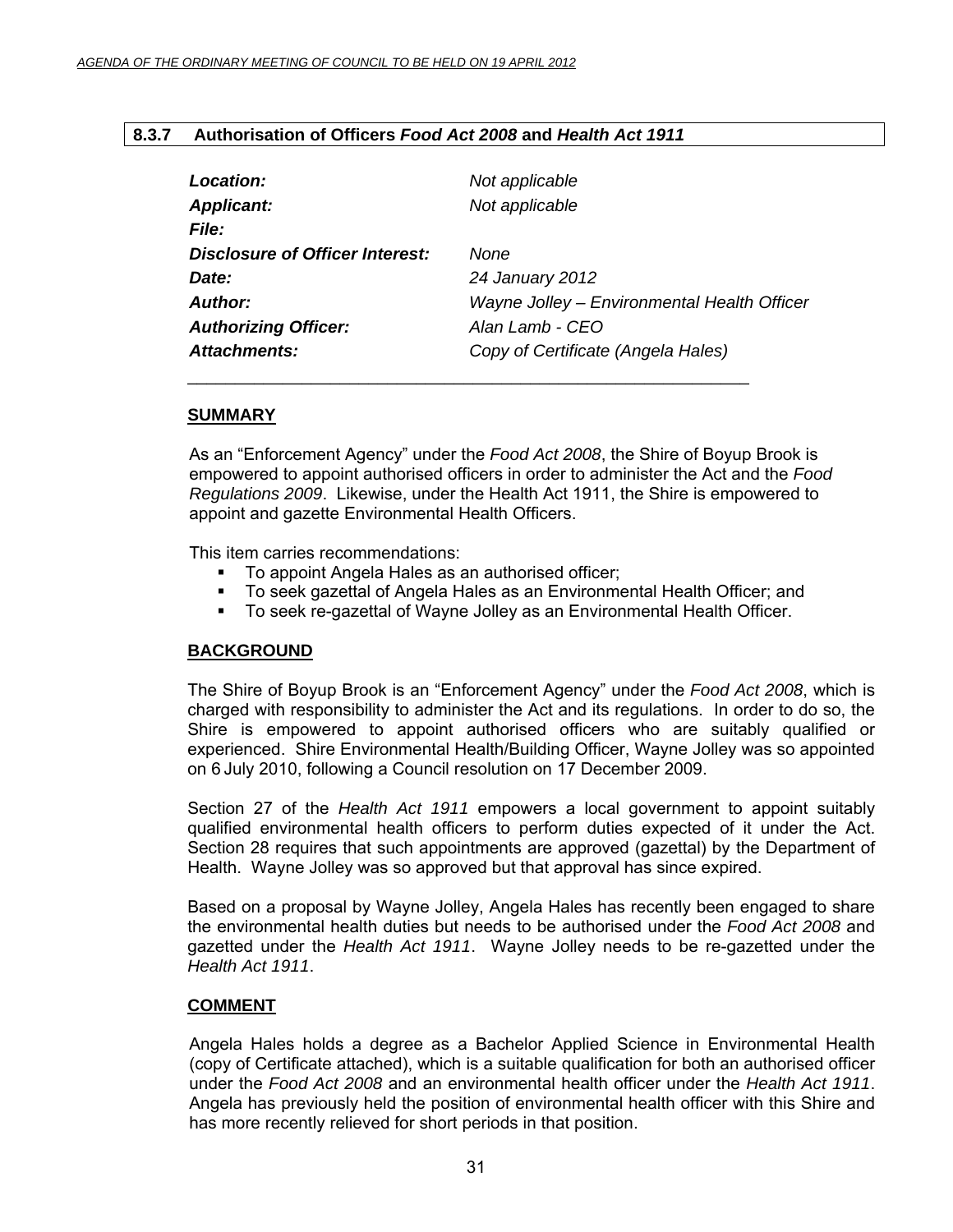# **8.3.7 Authorisation of Officers** *Food Act 2008* **and** *Health Act 1911*

| <b>Location:</b>                | Not applicable                              |
|---------------------------------|---------------------------------------------|
| <b>Applicant:</b>               | Not applicable                              |
| <b>File:</b>                    |                                             |
| Disclosure of Officer Interest: | None                                        |
| <b>Date:</b>                    | 24 January 2012                             |
| Author:                         | Wayne Jolley - Environmental Health Officer |
| <b>Authorizing Officer:</b>     | Alan Lamb - CEO                             |
| <b>Attachments:</b>             | Copy of Certificate (Angela Hales)          |
|                                 |                                             |

# **SUMMARY**

As an "Enforcement Agency" under the *Food Act 2008*, the Shire of Boyup Brook is empowered to appoint authorised officers in order to administer the Act and the *Food Regulations 2009*. Likewise, under the Health Act 1911, the Shire is empowered to appoint and gazette Environmental Health Officers.

This item carries recommendations:

- To appoint Angela Hales as an authorised officer;
- To seek gazettal of Angela Hales as an Environmental Health Officer; and
- To seek re-gazettal of Wayne Jolley as an Environmental Health Officer.

# **BACKGROUND**

The Shire of Boyup Brook is an "Enforcement Agency" under the *Food Act 2008*, which is charged with responsibility to administer the Act and its regulations. In order to do so, the Shire is empowered to appoint authorised officers who are suitably qualified or experienced. Shire Environmental Health/Building Officer, Wayne Jolley was so appointed on 6 July 2010, following a Council resolution on 17 December 2009.

Section 27 of the *Health Act 1911* empowers a local government to appoint suitably qualified environmental health officers to perform duties expected of it under the Act. Section 28 requires that such appointments are approved (gazettal) by the Department of Health. Wayne Jolley was so approved but that approval has since expired.

Based on a proposal by Wayne Jolley, Angela Hales has recently been engaged to share the environmental health duties but needs to be authorised under the *Food Act 2008* and gazetted under the *Health Act 1911*. Wayne Jolley needs to be re-gazetted under the *Health Act 1911*.

# **COMMENT**

Angela Hales holds a degree as a Bachelor Applied Science in Environmental Health (copy of Certificate attached), which is a suitable qualification for both an authorised officer under the *Food Act 2008* and an environmental health officer under the *Health Act 1911*. Angela has previously held the position of environmental health officer with this Shire and has more recently relieved for short periods in that position.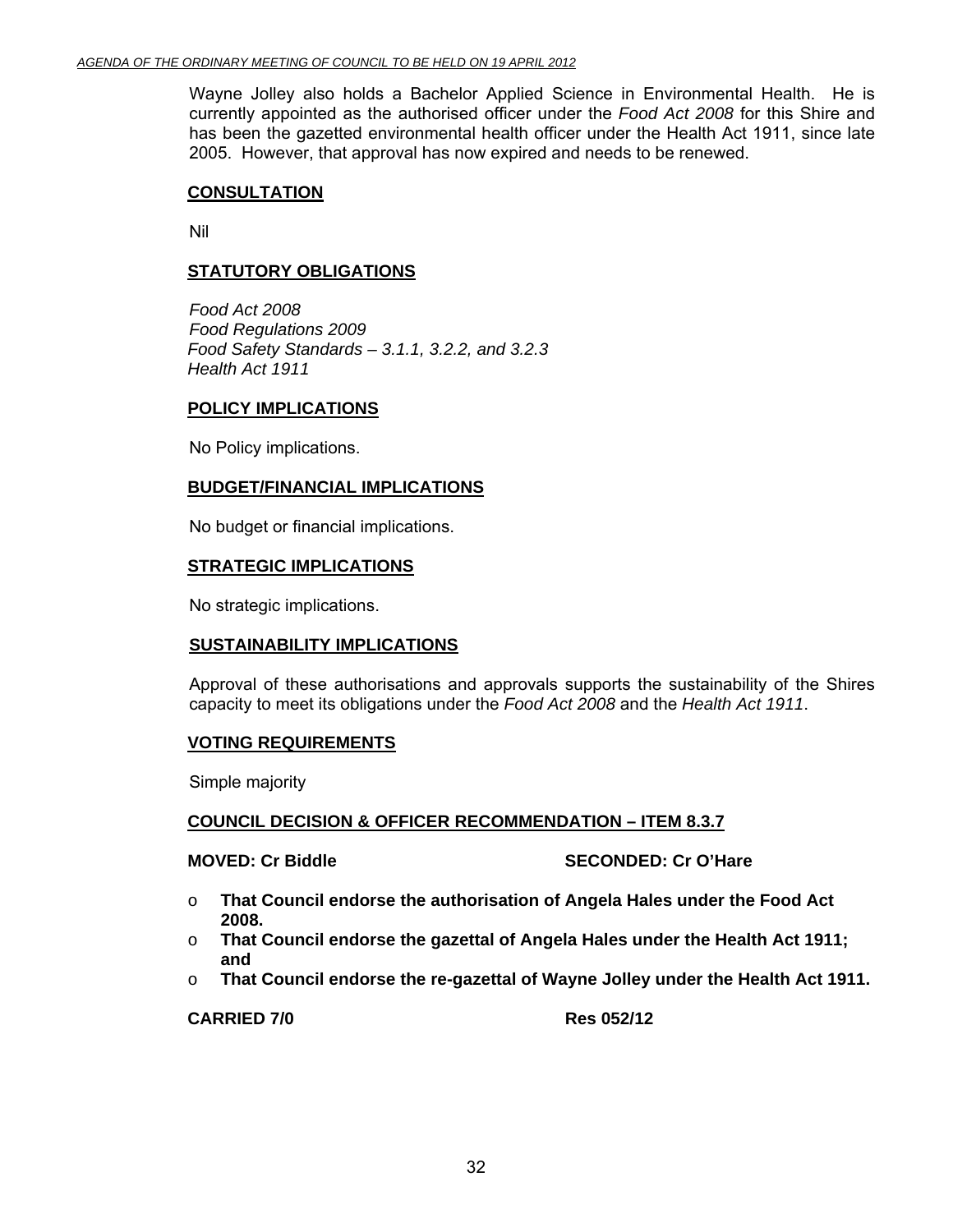Wayne Jolley also holds a Bachelor Applied Science in Environmental Health. He is currently appointed as the authorised officer under the *Food Act 2008* for this Shire and has been the gazetted environmental health officer under the Health Act 1911, since late 2005. However, that approval has now expired and needs to be renewed.

# **CONSULTATION**

Nil

# **STATUTORY OBLIGATIONS**

*Food Act 2008 Food Regulations 2009 Food Safety Standards – 3.1.1, 3.2.2, and 3.2.3 Health Act 1911* 

### **POLICY IMPLICATIONS**

No Policy implications.

# **BUDGET/FINANCIAL IMPLICATIONS**

No budget or financial implications.

### **STRATEGIC IMPLICATIONS**

No strategic implications.

# **SUSTAINABILITY IMPLICATIONS**

Approval of these authorisations and approvals supports the sustainability of the Shires capacity to meet its obligations under the *Food Act 2008* and the *Health Act 1911*.

# **VOTING REQUIREMENTS**

Simple majority

# **COUNCIL DECISION & OFFICER RECOMMENDATION – ITEM 8.3.7**

**MOVED: Cr Biddle SECONDED: Cr O'Hare** 

- o **That Council endorse the authorisation of Angela Hales under the Food Act 2008.**
- o **That Council endorse the gazettal of Angela Hales under the Health Act 1911; and**
- o **That Council endorse the re-gazettal of Wayne Jolley under the Health Act 1911.**

**CARRIED 7/0 Res 052/12**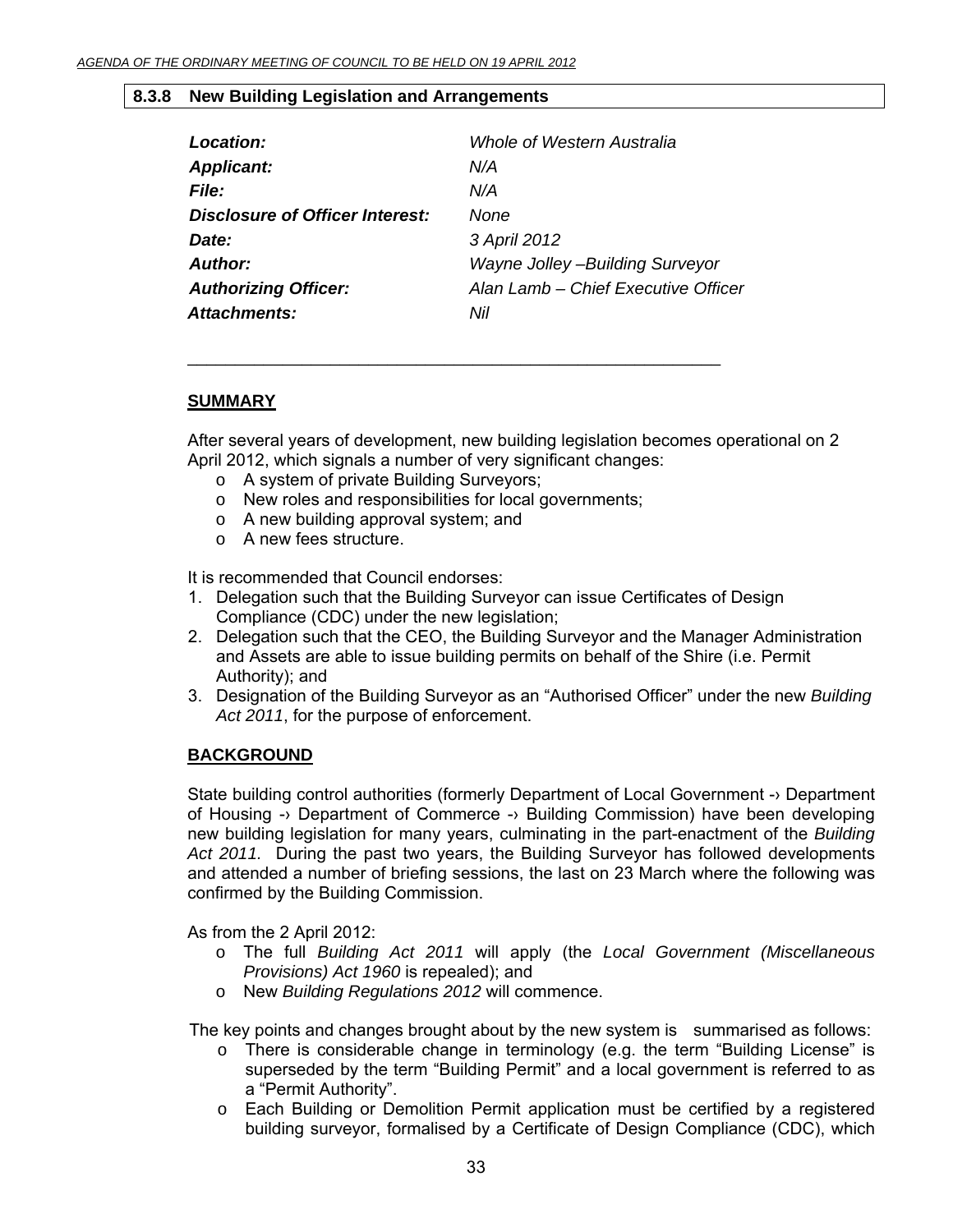# **8.3.8 New Building Legislation and Arrangements**

| N/A                                    |
|----------------------------------------|
|                                        |
| N/A                                    |
| None                                   |
| 3 April 2012                           |
| <b>Wayne Jolley -Building Surveyor</b> |
| Alan Lamb - Chief Executive Officer    |
| Nil                                    |
|                                        |

\_\_\_\_\_\_\_\_\_\_\_\_\_\_\_\_\_\_\_\_\_\_\_\_\_\_\_\_\_\_\_\_\_\_\_\_\_\_\_\_\_\_\_\_\_\_\_\_\_\_\_\_\_\_\_\_

# **SUMMARY**

After several years of development, new building legislation becomes operational on 2 April 2012, which signals a number of very significant changes:

- o A system of private Building Surveyors;
- o New roles and responsibilities for local governments;
- o A new building approval system; and
- o A new fees structure.

It is recommended that Council endorses:

- 1. Delegation such that the Building Surveyor can issue Certificates of Design Compliance (CDC) under the new legislation;
- 2. Delegation such that the CEO, the Building Surveyor and the Manager Administration and Assets are able to issue building permits on behalf of the Shire (i.e. Permit Authority); and
- 3. Designation of the Building Surveyor as an "Authorised Officer" under the new *Building Act 2011*, for the purpose of enforcement.

# **BACKGROUND**

State building control authorities (formerly Department of Local Government -> Department of Housing -› Department of Commerce -› Building Commission) have been developing new building legislation for many years, culminating in the part-enactment of the *Building Act 2011.* During the past two years, the Building Surveyor has followed developments and attended a number of briefing sessions, the last on 23 March where the following was confirmed by the Building Commission.

As from the 2 April 2012:

- o The full *Building Act 2011* will apply (the *Local Government (Miscellaneous Provisions) Act 1960* is repealed); and
- o New *Building Regulations 2012* will commence.

The key points and changes brought about by the new system is summarised as follows:

- $\circ$  There is considerable change in terminology (e.g. the term "Building License" is superseded by the term "Building Permit" and a local government is referred to as a "Permit Authority".
- o Each Building or Demolition Permit application must be certified by a registered building surveyor, formalised by a Certificate of Design Compliance (CDC), which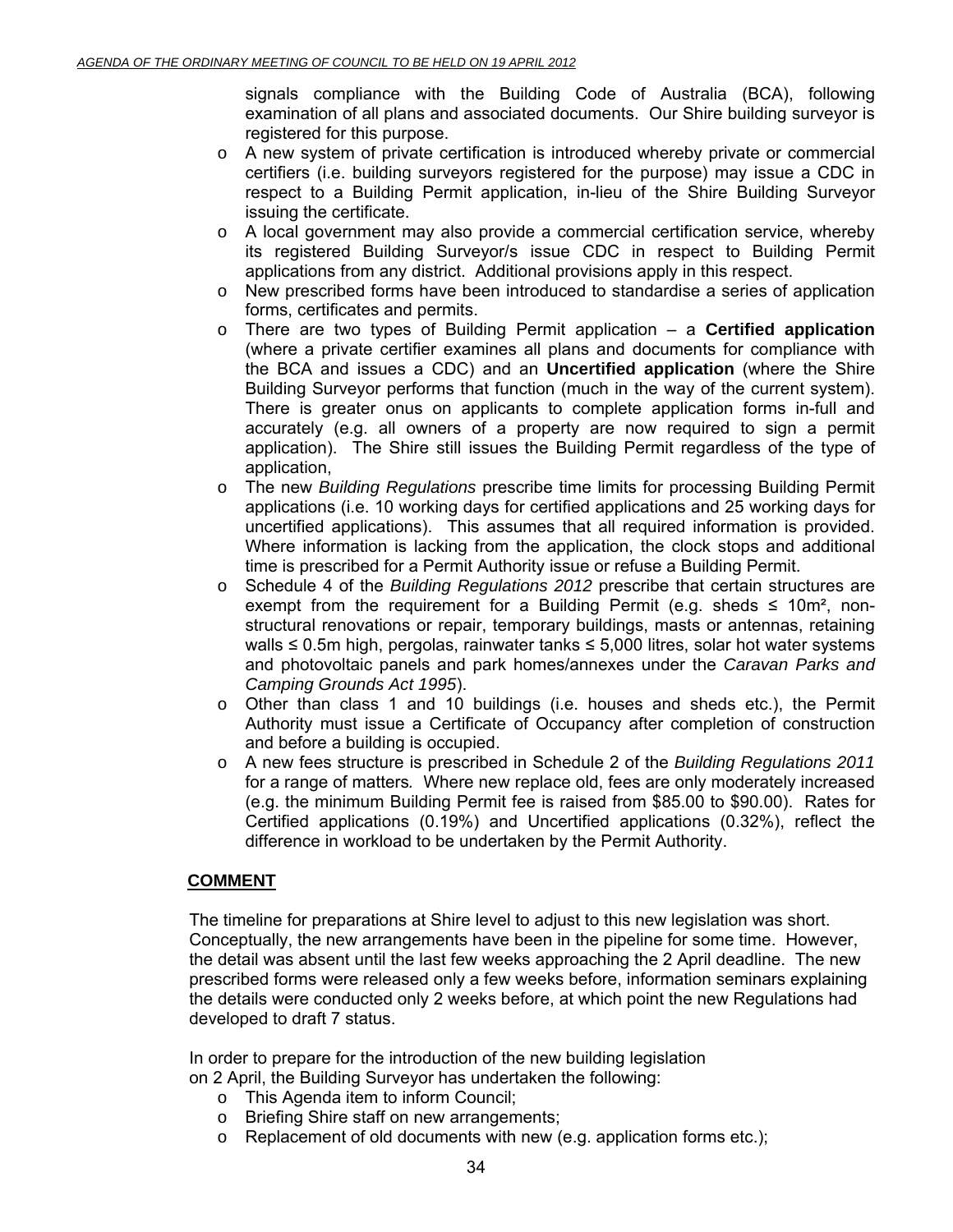signals compliance with the Building Code of Australia (BCA), following examination of all plans and associated documents. Our Shire building surveyor is registered for this purpose.

- o A new system of private certification is introduced whereby private or commercial certifiers (i.e. building surveyors registered for the purpose) may issue a CDC in respect to a Building Permit application, in-lieu of the Shire Building Surveyor issuing the certificate.
- o A local government may also provide a commercial certification service, whereby its registered Building Surveyor/s issue CDC in respect to Building Permit applications from any district. Additional provisions apply in this respect.
- o New prescribed forms have been introduced to standardise a series of application forms, certificates and permits.
- o There are two types of Building Permit application a **Certified application** (where a private certifier examines all plans and documents for compliance with the BCA and issues a CDC) and an **Uncertified application** (where the Shire Building Surveyor performs that function (much in the way of the current system). There is greater onus on applicants to complete application forms in-full and accurately (e.g. all owners of a property are now required to sign a permit application). The Shire still issues the Building Permit regardless of the type of application,
- o The new *Building Regulations* prescribe time limits for processing Building Permit applications (i.e. 10 working days for certified applications and 25 working days for uncertified applications). This assumes that all required information is provided. Where information is lacking from the application, the clock stops and additional time is prescribed for a Permit Authority issue or refuse a Building Permit.
- o Schedule 4 of the *Building Regulations 2012* prescribe that certain structures are exempt from the requirement for a Building Permit (e.g. sheds  $\leq 10$ m<sup>2</sup>, nonstructural renovations or repair, temporary buildings, masts or antennas, retaining walls ≤ 0.5m high, pergolas, rainwater tanks ≤ 5,000 litres, solar hot water systems and photovoltaic panels and park homes/annexes under the *Caravan Parks and Camping Grounds Act 1995*).
- $\circ$  Other than class 1 and 10 buildings (i.e. houses and sheds etc.), the Permit Authority must issue a Certificate of Occupancy after completion of construction and before a building is occupied.
- o A new fees structure is prescribed in Schedule 2 of the *Building Regulations 2011*  for a range of matters*.* Where new replace old, fees are only moderately increased (e.g. the minimum Building Permit fee is raised from \$85.00 to \$90.00). Rates for Certified applications (0.19%) and Uncertified applications (0.32%), reflect the difference in workload to be undertaken by the Permit Authority.

# **COMMENT**

The timeline for preparations at Shire level to adjust to this new legislation was short. Conceptually, the new arrangements have been in the pipeline for some time. However, the detail was absent until the last few weeks approaching the 2 April deadline. The new prescribed forms were released only a few weeks before, information seminars explaining the details were conducted only 2 weeks before, at which point the new Regulations had developed to draft 7 status.

 In order to prepare for the introduction of the new building legislation on 2 April, the Building Surveyor has undertaken the following:

- o This Agenda item to inform Council;
- o Briefing Shire staff on new arrangements;
- $\circ$  Replacement of old documents with new (e.g. application forms etc.);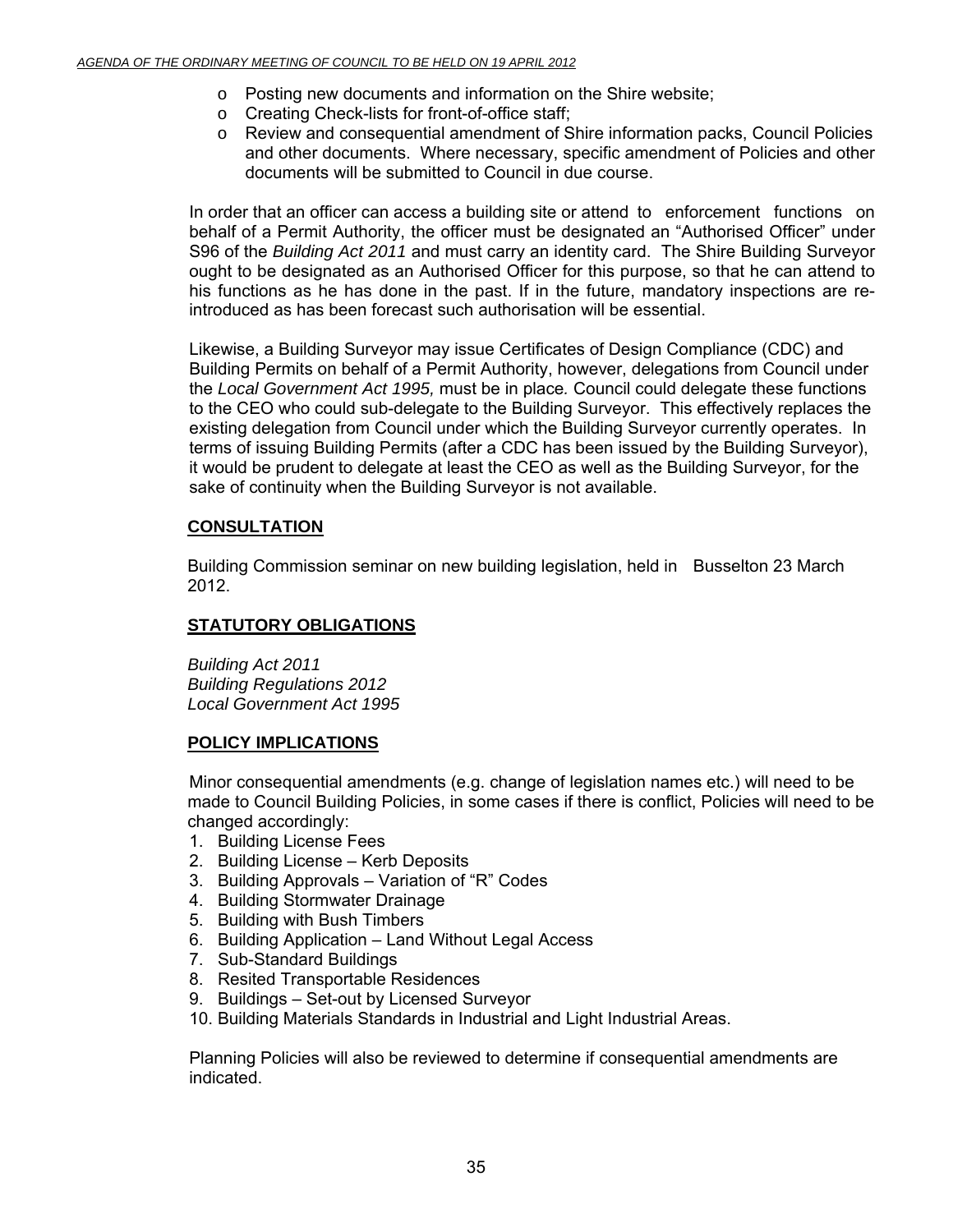- o Posting new documents and information on the Shire website;
- o Creating Check-lists for front-of-office staff;
- o Review and consequential amendment of Shire information packs, Council Policies and other documents. Where necessary, specific amendment of Policies and other documents will be submitted to Council in due course.

In order that an officer can access a building site or attend to enforcement functions on behalf of a Permit Authority, the officer must be designated an "Authorised Officer" under S96 of the *Building Act 2011* and must carry an identity card. The Shire Building Surveyor ought to be designated as an Authorised Officer for this purpose, so that he can attend to his functions as he has done in the past. If in the future, mandatory inspections are reintroduced as has been forecast such authorisation will be essential.

Likewise, a Building Surveyor may issue Certificates of Design Compliance (CDC) and Building Permits on behalf of a Permit Authority, however, delegations from Council under the *Local Government Act 1995,* must be in place*.* Council could delegate these functions to the CEO who could sub-delegate to the Building Surveyor. This effectively replaces the existing delegation from Council under which the Building Surveyor currently operates. In terms of issuing Building Permits (after a CDC has been issued by the Building Surveyor), it would be prudent to delegate at least the CEO as well as the Building Surveyor, for the sake of continuity when the Building Surveyor is not available.

# **CONSULTATION**

 Building Commission seminar on new building legislation, held in Busselton 23 March 2012.

# **STATUTORY OBLIGATIONS**

*Building Act 2011 Building Regulations 2012 Local Government Act 1995* 

# **POLICY IMPLICATIONS**

 Minor consequential amendments (e.g. change of legislation names etc.) will need to be made to Council Building Policies, in some cases if there is conflict, Policies will need to be changed accordingly:

- 1. Building License Fees
- 2. Building License Kerb Deposits
- 3. Building Approvals Variation of "R" Codes
- 4. Building Stormwater Drainage
- 5. Building with Bush Timbers
- 6. Building Application Land Without Legal Access
- 7. Sub-Standard Buildings
- 8. Resited Transportable Residences
- 9. Buildings Set-out by Licensed Surveyor
- 10. Building Materials Standards in Industrial and Light Industrial Areas.

Planning Policies will also be reviewed to determine if consequential amendments are indicated.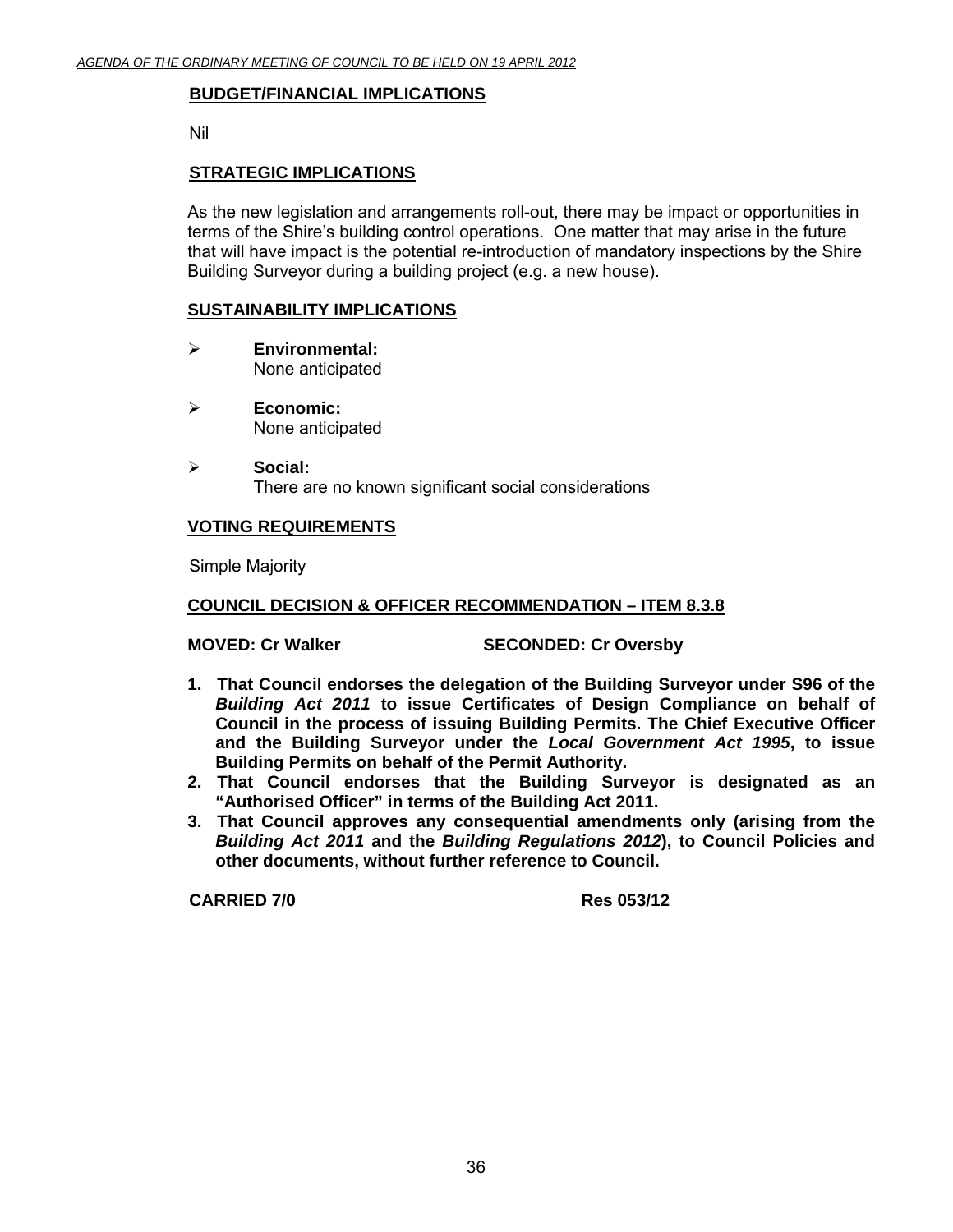# **BUDGET/FINANCIAL IMPLICATIONS**

Nil

# **STRATEGIC IMPLICATIONS**

As the new legislation and arrangements roll-out, there may be impact or opportunities in terms of the Shire's building control operations. One matter that may arise in the future that will have impact is the potential re-introduction of mandatory inspections by the Shire Building Surveyor during a building project (e.g. a new house).

# **SUSTAINABILITY IMPLICATIONS**

- ¾ **Environmental:**  None anticipated
- ¾ **Economic:**  None anticipated
- ¾ **Social:**  There are no known significant social considerations

# **VOTING REQUIREMENTS**

Simple Majority

# **COUNCIL DECISION & OFFICER RECOMMENDATION – ITEM 8.3.8**

**MOVED: Cr Walker SECONDED: Cr Oversby** 

- **1. That Council endorses the delegation of the Building Surveyor under S96 of the**  *Building Act 2011* **to issue Certificates of Design Compliance on behalf of Council in the process of issuing Building Permits. The Chief Executive Officer and the Building Surveyor under the** *Local Government Act 1995***, to issue Building Permits on behalf of the Permit Authority.**
- **2. That Council endorses that the Building Surveyor is designated as an "Authorised Officer" in terms of the Building Act 2011.**
- **3. That Council approves any consequential amendments only (arising from the**  *Building Act 2011* **and the** *Building Regulations 2012***), to Council Policies and other documents, without further reference to Council.**

**CARRIED 7/0 Res 053/12**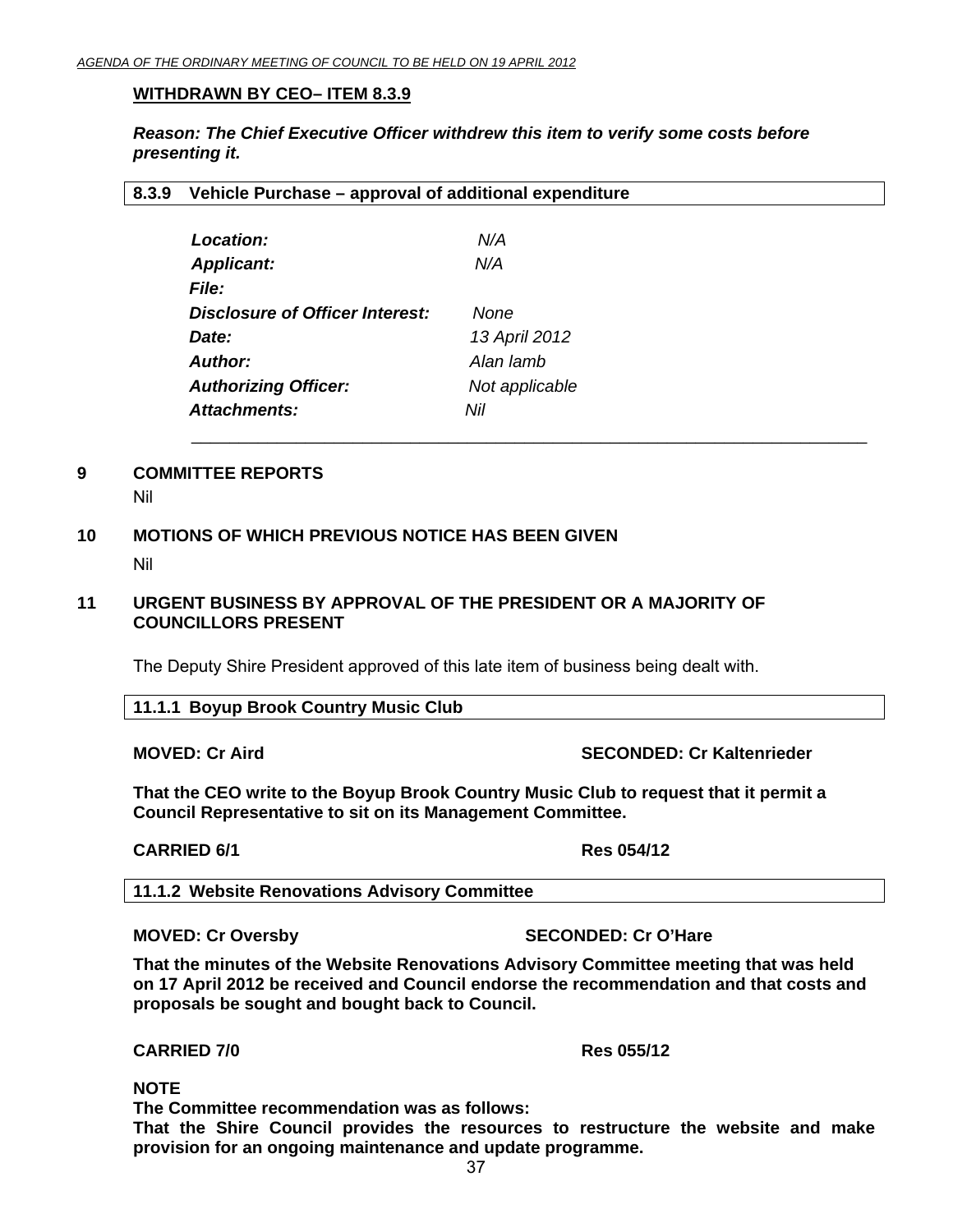## **WITHDRAWN BY CEO– ITEM 8.3.9**

*Reason: The Chief Executive Officer withdrew this item to verify some costs before presenting it.*

 $\mathcal{L}_\mathcal{L} = \{ \mathcal{L}_\mathcal{L} = \{ \mathcal{L}_\mathcal{L} = \{ \mathcal{L}_\mathcal{L} = \{ \mathcal{L}_\mathcal{L} = \{ \mathcal{L}_\mathcal{L} = \{ \mathcal{L}_\mathcal{L} = \{ \mathcal{L}_\mathcal{L} = \{ \mathcal{L}_\mathcal{L} = \{ \mathcal{L}_\mathcal{L} = \{ \mathcal{L}_\mathcal{L} = \{ \mathcal{L}_\mathcal{L} = \{ \mathcal{L}_\mathcal{L} = \{ \mathcal{L}_\mathcal{L} = \{ \mathcal{L}_\mathcal{$ 

## **8.3.9 Vehicle Purchase – approval of additional expenditure**

| Location:                       | N/A            |
|---------------------------------|----------------|
| <b>Applicant:</b>               | N/A            |
| <i>File:</i>                    |                |
| Disclosure of Officer Interest: | None           |
| Date:                           | 13 April 2012  |
| <b>Author:</b>                  | Alan lamb      |
| <b>Authorizing Officer:</b>     | Not applicable |
| Attachments:                    | Nil            |
|                                 |                |

# **9 COMMITTEE REPORTS**

Nil

# **10 MOTIONS OF WHICH PREVIOUS NOTICE HAS BEEN GIVEN**

Nil

# **11 URGENT BUSINESS BY APPROVAL OF THE PRESIDENT OR A MAJORITY OF COUNCILLORS PRESENT**

The Deputy Shire President approved of this late item of business being dealt with.

#### **11.1.1 Boyup Brook Country Music Club**

#### **MOVED: Cr Aird SECONDED: Cr Kaltenrieder**  SECONDED: Cr Kaltenrieder

**That the CEO write to the Boyup Brook Country Music Club to request that it permit a Council Representative to sit on its Management Committee.** 

#### **CARRIED 6/1 Res 054/12**

**11.1.2 Website Renovations Advisory Committee** 

#### **MOVED: Cr Oversby SECONDED: Cr O'Hare**

**That the minutes of the Website Renovations Advisory Committee meeting that was held on 17 April 2012 be received and Council endorse the recommendation and that costs and proposals be sought and bought back to Council.** 

**CARRIED 7/0 Res 055/12** 

**NOTE** 

 **The Committee recommendation was as follows:** 

**That the Shire Council provides the resources to restructure the website and make provision for an ongoing maintenance and update programme.**